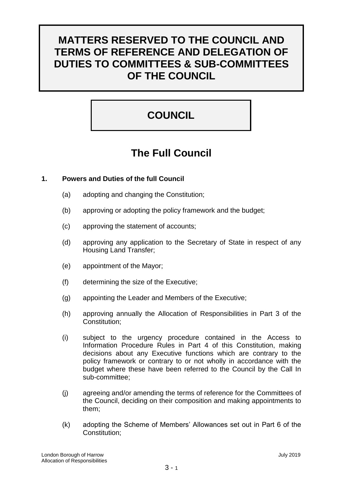# **MATTERS RESERVED TO THE COUNCIL AND TERMS OF REFERENCE AND DELEGATION OF DUTIES TO COMMITTEES & SUB-COMMITTEES OF THE COUNCIL**

# **COUNCIL**

# **The Full Council**

# **1. Powers and Duties of the full Council**

- (a) adopting and changing the Constitution;
- (b) approving or adopting the policy framework and the budget;
- (c) approving the statement of accounts;
- (d) approving any application to the Secretary of State in respect of any Housing Land Transfer;
- (e) appointment of the Mayor;
- (f) determining the size of the Executive;
- (g) appointing the Leader and Members of the Executive;
- (h) approving annually the Allocation of Responsibilities in Part 3 of the Constitution;
- (i) subject to the urgency procedure contained in the Access to Information Procedure Rules in Part 4 of this Constitution, making decisions about any Executive functions which are contrary to the policy framework or contrary to or not wholly in accordance with the budget where these have been referred to the Council by the Call In sub-committee;
- (j) agreeing and/or amending the terms of reference for the Committees of the Council, deciding on their composition and making appointments to them;
- (k) adopting the Scheme of Members' Allowances set out in Part 6 of the Constitution;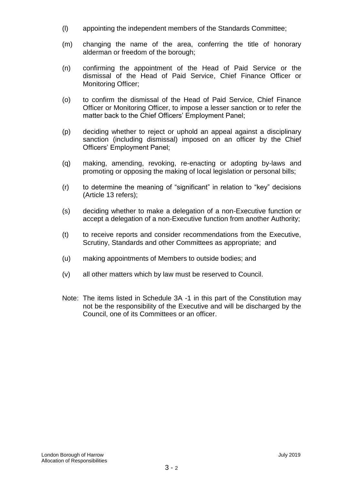- (l) appointing the independent members of the Standards Committee;
- (m) changing the name of the area, conferring the title of honorary alderman or freedom of the borough;
- (n) confirming the appointment of the Head of Paid Service or the dismissal of the Head of Paid Service, Chief Finance Officer or Monitoring Officer;
- (o) to confirm the dismissal of the Head of Paid Service, Chief Finance Officer or Monitoring Officer, to impose a lesser sanction or to refer the matter back to the Chief Officers' Employment Panel;
- (p) deciding whether to reject or uphold an appeal against a disciplinary sanction (including dismissal) imposed on an officer by the Chief Officers' Employment Panel;
- (q) making, amending, revoking, re-enacting or adopting by-laws and promoting or opposing the making of local legislation or personal bills;
- (r) to determine the meaning of "significant" in relation to "key" decisions (Article 13 refers);
- (s) deciding whether to make a delegation of a non-Executive function or accept a delegation of a non-Executive function from another Authority;
- (t) to receive reports and consider recommendations from the Executive, Scrutiny, Standards and other Committees as appropriate; and
- (u) making appointments of Members to outside bodies; and
- (v) all other matters which by law must be reserved to Council.
- Note: The items listed in Schedule 3A -1 in this part of the Constitution may not be the responsibility of the Executive and will be discharged by the Council, one of its Committees or an officer.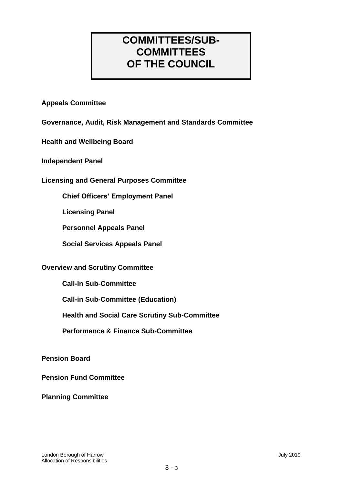# **COMMITTEES/SUB-COMMITTEES OF THE COUNCIL**

# **Appeals Committee**

**Governance, Audit, Risk Management and Standards Committee**

**Health and Wellbeing Board**

**Independent Panel**

**Licensing and General Purposes Committee** 

**Chief Officers' Employment Panel**

**Licensing Panel**

**Personnel Appeals Panel**

**Social Services Appeals Panel**

# **Overview and Scrutiny Committee**

**Call-In Sub-Committee**

**Call-in Sub-Committee (Education)**

**Health and Social Care Scrutiny Sub-Committee**

**Performance & Finance Sub-Committee**

**Pension Board**

**Pension Fund Committee**

**Planning Committee**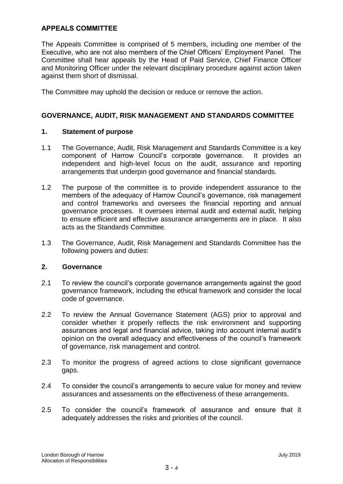# **APPEALS COMMITTEE**

The Appeals Committee is comprised of 5 members, including one member of the Executive, who are not also members of the Chief Officers' Employment Panel. The Committee shall hear appeals by the Head of Paid Service, Chief Finance Officer and Monitoring Officer under the relevant disciplinary procedure against action taken against them short of dismissal.

The Committee may uphold the decision or reduce or remove the action.

# **GOVERNANCE, AUDIT, RISK MANAGEMENT AND STANDARDS COMMITTEE**

#### **1. Statement of purpose**

- 1.1 The Governance, Audit, Risk Management and Standards Committee is a key component of Harrow Council's corporate governance. It provides an independent and high-level focus on the audit, assurance and reporting arrangements that underpin good governance and financial standards.
- 1.2 The purpose of the committee is to provide independent assurance to the members of the adequacy of Harrow Council's governance, risk management and control frameworks and oversees the financial reporting and annual governance processes. It oversees internal audit and external audit, helping to ensure efficient and effective assurance arrangements are in place. It also acts as the Standards Committee.
- 1.3 The Governance, Audit, Risk Management and Standards Committee has the following powers and duties:

#### **2. Governance**

- 2.1 To review the council's corporate governance arrangements against the good governance framework, including the ethical framework and consider the local code of governance.
- 2.2 To review the Annual Governance Statement (AGS) prior to approval and consider whether it properly reflects the risk environment and supporting assurances and legal and financial advice, taking into account internal audit's opinion on the overall adequacy and effectiveness of the council's framework of governance, risk management and control.
- 2.3 To monitor the progress of agreed actions to close significant governance gaps.
- 2.4 To consider the council's arrangements to secure value for money and review assurances and assessments on the effectiveness of these arrangements.
- 2.5 To consider the council's framework of assurance and ensure that it adequately addresses the risks and priorities of the council.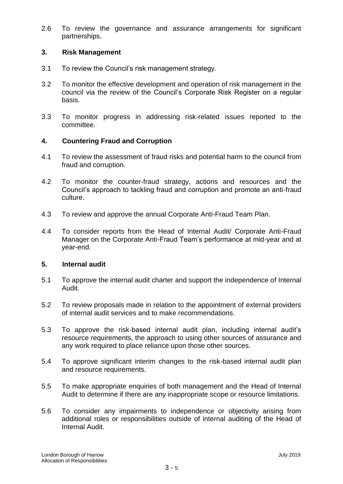2.6 To review the governance and assurance arrangements for significant partnerships.

# **3. Risk Management**

- 3.1 To review the Council's risk management strategy.
- 3.2 To monitor the effective development and operation of risk management in the council via the review of the Council's Corporate Risk Register on a regular basis.
- 3.3 To monitor progress in addressing risk-related issues reported to the committee.

# **4. Countering Fraud and Corruption**

- 4.1 To review the assessment of fraud risks and potential harm to the council from fraud and corruption.
- 4.2 To monitor the counter-fraud strategy, actions and resources and the Council's approach to tackling fraud and corruption and promote an anti-fraud culture.
- 4.3 To review and approve the annual Corporate Anti-Fraud Team Plan.
- 4.4 To consider reports from the Head of Internal Audit/ Corporate Anti-Fraud Manager on the Corporate Anti-Fraud Team's performance at mid-year and at year-end.

# **5. Internal audit**

- 5.1 To approve the internal audit charter and support the independence of Internal Audit.
- 5.2 To review proposals made in relation to the appointment of external providers of internal audit services and to make recommendations.
- 5.3 To approve the risk-based internal audit plan, including internal audit's resource requirements, the approach to using other sources of assurance and any work required to place reliance upon those other sources.
- 5.4 To approve significant interim changes to the risk-based internal audit plan and resource requirements.
- 5.5 To make appropriate enquiries of both management and the Head of Internal Audit to determine if there are any inappropriate scope or resource limitations.
- 5.6 To consider any impairments to independence or objectivity arising from additional roles or responsibilities outside of internal auditing of the Head of Internal Audit.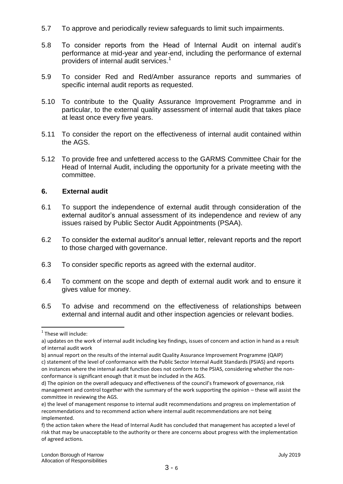- 5.7 To approve and periodically review safeguards to limit such impairments.
- 5.8 To consider reports from the Head of Internal Audit on internal audit's performance at mid-year and year-end, including the performance of external providers of internal audit services.<sup>1</sup>
- 5.9 To consider Red and Red/Amber assurance reports and summaries of specific internal audit reports as requested.
- 5.10 To contribute to the Quality Assurance Improvement Programme and in particular, to the external quality assessment of internal audit that takes place at least once every five years.
- 5.11 To consider the report on the effectiveness of internal audit contained within the AGS.
- 5.12 To provide free and unfettered access to the GARMS Committee Chair for the Head of Internal Audit, including the opportunity for a private meeting with the committee.

# **6. External audit**

- 6.1 To support the independence of external audit through consideration of the external auditor's annual assessment of its independence and review of any issues raised by Public Sector Audit Appointments (PSAA).
- 6.2 To consider the external auditor's annual letter, relevant reports and the report to those charged with governance.
- 6.3 To consider specific reports as agreed with the external auditor.
- 6.4 To comment on the scope and depth of external audit work and to ensure it gives value for money.
- 6.5 To advise and recommend on the effectiveness of relationships between external and internal audit and other inspection agencies or relevant bodies.

1

<sup>&</sup>lt;sup>1</sup> These will include:

a) updates on the work of internal audit including key findings, issues of concern and action in hand as a result of internal audit work

b) annual report on the results of the internal audit Quality Assurance Improvement Programme (QAIP) c) statement of the level of conformance with the Public Sector Internal Audit Standards (PSIAS) and reports

on instances where the internal audit function does not conform to the PSIAS, considering whether the nonconformance is significant enough that it must be included in the AGS.

d) The opinion on the overall adequacy and effectiveness of the council's framework of governance, risk management and control together with the summary of the work supporting the opinion – these will assist the committee in reviewing the AGS.

e) the level of management response to internal audit recommendations and progress on implementation of recommendations and to recommend action where internal audit recommendations are not being implemented.

f) the action taken where the Head of Internal Audit has concluded that management has accepted a level of risk that may be unacceptable to the authority or there are concerns about progress with the implementation of agreed actions.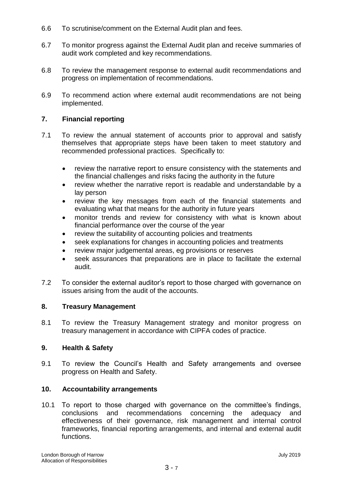- 6.6 To scrutinise/comment on the External Audit plan and fees.
- 6.7 To monitor progress against the External Audit plan and receive summaries of audit work completed and key recommendations.
- 6.8 To review the management response to external audit recommendations and progress on implementation of recommendations.
- 6.9 To recommend action where external audit recommendations are not being implemented.

# **7. Financial reporting**

- 7.1 To review the annual statement of accounts prior to approval and satisfy themselves that appropriate steps have been taken to meet statutory and recommended professional practices. Specifically to:
	- review the narrative report to ensure consistency with the statements and the financial challenges and risks facing the authority in the future
	- review whether the narrative report is readable and understandable by a lay person
	- review the key messages from each of the financial statements and evaluating what that means for the authority in future years
	- monitor trends and review for consistency with what is known about financial performance over the course of the year
	- review the suitability of accounting policies and treatments
	- seek explanations for changes in accounting policies and treatments
	- review major judgemental areas, eg provisions or reserves
	- seek assurances that preparations are in place to facilitate the external audit.
- 7.2 To consider the external auditor's report to those charged with governance on issues arising from the audit of the accounts.

# **8. Treasury Management**

8.1 To review the Treasury Management strategy and monitor progress on treasury management in accordance with CIPFA codes of practice.

# **9. Health & Safety**

9.1 To review the Council's Health and Safety arrangements and oversee progress on Health and Safety.

# **10. Accountability arrangements**

10.1 To report to those charged with governance on the committee's findings, conclusions and recommendations concerning the adequacy and effectiveness of their governance, risk management and internal control frameworks, financial reporting arrangements, and internal and external audit functions.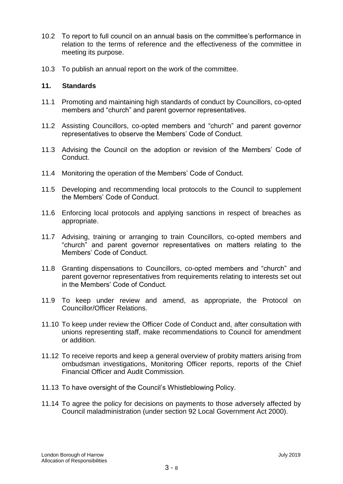- 10.2 To report to full council on an annual basis on the committee's performance in relation to the terms of reference and the effectiveness of the committee in meeting its purpose.
- 10.3 To publish an annual report on the work of the committee.

#### **11. Standards**

- 11.1 Promoting and maintaining high standards of conduct by Councillors, co-opted members and "church" and parent governor representatives.
- 11.2 Assisting Councillors, co-opted members and "church" and parent governor representatives to observe the Members' Code of Conduct.
- 11.3 Advising the Council on the adoption or revision of the Members' Code of Conduct.
- 11.4 Monitoring the operation of the Members' Code of Conduct.
- 11.5 Developing and recommending local protocols to the Council to supplement the Members' Code of Conduct.
- 11.6 Enforcing local protocols and applying sanctions in respect of breaches as appropriate.
- 11.7 Advising, training or arranging to train Councillors, co-opted members and "church" and parent governor representatives on matters relating to the Members' Code of Conduct.
- 11.8 Granting dispensations to Councillors, co-opted members and "church" and parent governor representatives from requirements relating to interests set out in the Members' Code of Conduct.
- 11.9 To keep under review and amend, as appropriate, the Protocol on Councillor/Officer Relations.
- 11.10 To keep under review the Officer Code of Conduct and, after consultation with unions representing staff, make recommendations to Council for amendment or addition.
- 11.12 To receive reports and keep a general overview of probity matters arising from ombudsman investigations, Monitoring Officer reports, reports of the Chief Financial Officer and Audit Commission.
- 11.13 To have oversight of the Council's Whistleblowing Policy.
- 11.14 To agree the policy for decisions on payments to those adversely affected by Council maladministration (under section 92 Local Government Act 2000).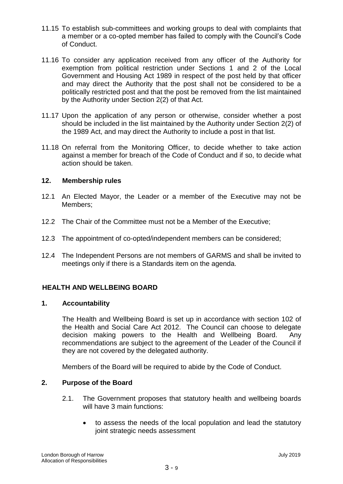- 11.15 To establish sub-committees and working groups to deal with complaints that a member or a co-opted member has failed to comply with the Council's Code of Conduct.
- 11.16 To consider any application received from any officer of the Authority for exemption from political restriction under Sections 1 and 2 of the Local Government and Housing Act 1989 in respect of the post held by that officer and may direct the Authority that the post shall not be considered to be a politically restricted post and that the post be removed from the list maintained by the Authority under Section 2(2) of that Act.
- 11.17 Upon the application of any person or otherwise, consider whether a post should be included in the list maintained by the Authority under Section 2(2) of the 1989 Act, and may direct the Authority to include a post in that list.
- 11.18 On referral from the Monitoring Officer, to decide whether to take action against a member for breach of the Code of Conduct and if so, to decide what action should be taken.

# **12. Membership rules**

- 12.1 An Elected Mayor, the Leader or a member of the Executive may not be Members;
- 12.2 The Chair of the Committee must not be a Member of the Executive;
- 12.3 The appointment of co-opted/independent members can be considered;
- 12.4 The Independent Persons are not members of GARMS and shall be invited to meetings only if there is a Standards item on the agenda.

# **HEALTH AND WELLBEING BOARD**

# **1. Accountability**

The Health and Wellbeing Board is set up in accordance with section 102 of the Health and Social Care Act 2012. The Council can choose to delegate decision making powers to the Health and Wellbeing Board. Any recommendations are subject to the agreement of the Leader of the Council if they are not covered by the delegated authority.

Members of the Board will be required to abide by the Code of Conduct.

# **2. Purpose of the Board**

- 2.1. The Government proposes that statutory health and wellbeing boards will have 3 main functions:
	- to assess the needs of the local population and lead the statutory joint strategic needs assessment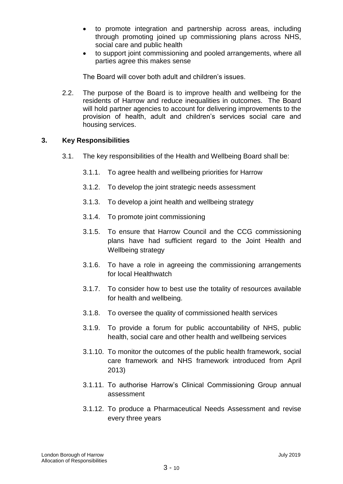- to promote integration and partnership across areas, including through promoting joined up commissioning plans across NHS, social care and public health
- to support joint commissioning and pooled arrangements, where all parties agree this makes sense

The Board will cover both adult and children's issues.

2.2. The purpose of the Board is to improve health and wellbeing for the residents of Harrow and reduce inequalities in outcomes. The Board will hold partner agencies to account for delivering improvements to the provision of health, adult and children's services social care and housing services.

# **3. Key Responsibilities**

- 3.1. The key responsibilities of the Health and Wellbeing Board shall be:
	- 3.1.1. To agree health and wellbeing priorities for Harrow
	- 3.1.2. To develop the joint strategic needs assessment
	- 3.1.3. To develop a joint health and wellbeing strategy
	- 3.1.4. To promote joint commissioning
	- 3.1.5. To ensure that Harrow Council and the CCG commissioning plans have had sufficient regard to the Joint Health and Wellbeing strategy
	- 3.1.6. To have a role in agreeing the commissioning arrangements for local Healthwatch
	- 3.1.7. To consider how to best use the totality of resources available for health and wellbeing.
	- 3.1.8. To oversee the quality of commissioned health services
	- 3.1.9. To provide a forum for public accountability of NHS, public health, social care and other health and wellbeing services
	- 3.1.10. To monitor the outcomes of the public health framework, social care framework and NHS framework introduced from April 2013)
	- 3.1.11. To authorise Harrow's Clinical Commissioning Group annual assessment
	- 3.1.12. To produce a Pharmaceutical Needs Assessment and revise every three years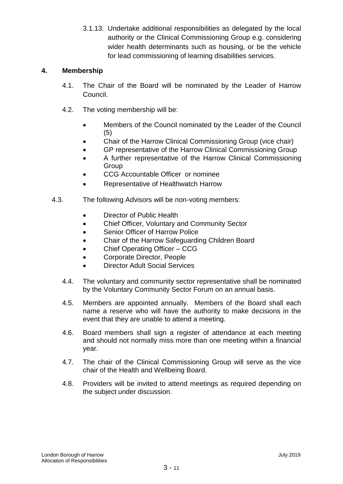3.1.13. Undertake additional responsibilities as delegated by the local authority or the Clinical Commissioning Group e.g. considering wider health determinants such as housing, or be the vehicle for lead commissioning of learning disabilities services.

# **4. Membership**

- 4.1. The Chair of the Board will be nominated by the Leader of Harrow Council.
- 4.2. The voting membership will be:
	- Members of the Council nominated by the Leader of the Council (5)
	- Chair of the Harrow Clinical Commissioning Group (vice chair)
	- GP representative of the Harrow Clinical Commissioning Group
	- A further representative of the Harrow Clinical Commissioning Group
	- CCG Accountable Officer or nominee
	- Representative of Healthwatch Harrow
- 4.3. The following Advisors will be non-voting members:
	- Director of Public Health
	- Chief Officer, Voluntary and Community Sector
	- Senior Officer of Harrow Police
	- Chair of the Harrow Safeguarding Children Board
	- Chief Operating Officer CCG
	- Corporate Director, People
	- Director Adult Social Services
	- 4.4. The voluntary and community sector representative shall be nominated by the Voluntary Community Sector Forum on an annual basis.
	- 4.5. Members are appointed annually. Members of the Board shall each name a reserve who will have the authority to make decisions in the event that they are unable to attend a meeting.
	- 4.6. Board members shall sign a register of attendance at each meeting and should not normally miss more than one meeting within a financial year.
	- 4.7. The chair of the Clinical Commissioning Group will serve as the vice chair of the Health and Wellbeing Board.
	- 4.8. Providers will be invited to attend meetings as required depending on the subject under discussion.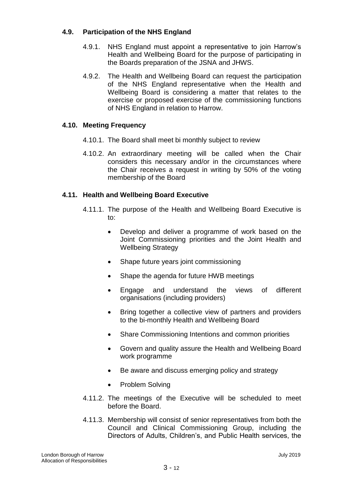# **4.9. Participation of the NHS England**

- 4.9.1. NHS England must appoint a representative to join Harrow's Health and Wellbeing Board for the purpose of participating in the Boards preparation of the JSNA and JHWS.
- 4.9.2. The Health and Wellbeing Board can request the participation of the NHS England representative when the Health and Wellbeing Board is considering a matter that relates to the exercise or proposed exercise of the commissioning functions of NHS England in relation to Harrow.

# **4.10. Meeting Frequency**

- 4.10.1. The Board shall meet bi monthly subject to review
- 4.10.2. An extraordinary meeting will be called when the Chair considers this necessary and/or in the circumstances where the Chair receives a request in writing by 50% of the voting membership of the Board

# **4.11. Health and Wellbeing Board Executive**

- 4.11.1. The purpose of the Health and Wellbeing Board Executive is to:
	- Develop and deliver a programme of work based on the Joint Commissioning priorities and the Joint Health and Wellbeing Strategy
	- Shape future years joint commissioning
	- Shape the agenda for future HWB meetings
	- Engage and understand the views of different organisations (including providers)
	- Bring together a collective view of partners and providers to the bi-monthly Health and Wellbeing Board
	- Share Commissioning Intentions and common priorities
	- Govern and quality assure the Health and Wellbeing Board work programme
	- Be aware and discuss emerging policy and strategy
	- Problem Solving
- 4.11.2. The meetings of the Executive will be scheduled to meet before the Board.
- 4.11.3. Membership will consist of senior representatives from both the Council and Clinical Commissioning Group, including the Directors of Adults, Children's, and Public Health services, the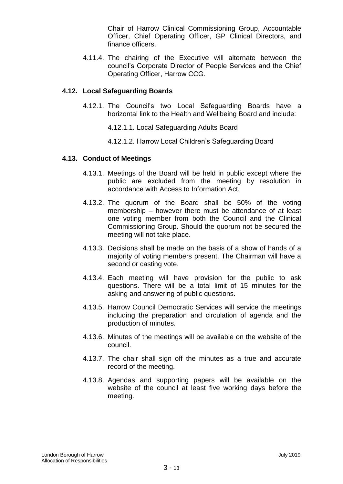Chair of Harrow Clinical Commissioning Group, Accountable Officer, Chief Operating Officer, GP Clinical Directors, and finance officers.

4.11.4. The chairing of the Executive will alternate between the council's Corporate Director of People Services and the Chief Operating Officer, Harrow CCG.

#### **4.12. Local Safeguarding Boards**

- 4.12.1. The Council's two Local Safeguarding Boards have a horizontal link to the Health and Wellbeing Board and include:
	- 4.12.1.1. Local Safeguarding Adults Board
	- 4.12.1.2. Harrow Local Children's Safeguarding Board

#### **4.13. Conduct of Meetings**

- 4.13.1. Meetings of the Board will be held in public except where the public are excluded from the meeting by resolution in accordance with Access to Information Act.
- 4.13.2. The quorum of the Board shall be 50% of the voting membership – however there must be attendance of at least one voting member from both the Council and the Clinical Commissioning Group. Should the quorum not be secured the meeting will not take place.
- 4.13.3. Decisions shall be made on the basis of a show of hands of a majority of voting members present. The Chairman will have a second or casting vote.
- 4.13.4. Each meeting will have provision for the public to ask questions. There will be a total limit of 15 minutes for the asking and answering of public questions.
- 4.13.5. Harrow Council Democratic Services will service the meetings including the preparation and circulation of agenda and the production of minutes.
- 4.13.6. Minutes of the meetings will be available on the website of the council.
- 4.13.7. The chair shall sign off the minutes as a true and accurate record of the meeting.
- 4.13.8. Agendas and supporting papers will be available on the website of the council at least five working days before the meeting.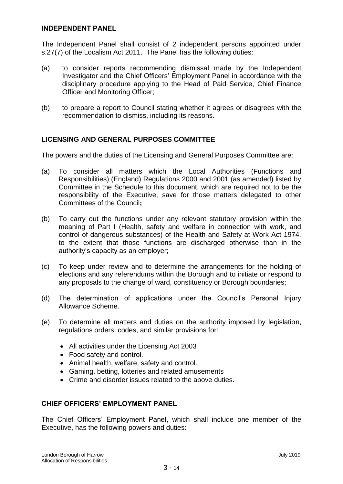#### **INDEPENDENT PANEL**

The Independent Panel shall consist of 2 independent persons appointed under s.27(7) of the Localism Act 2011. The Panel has the following duties:

- (a) to consider reports recommending dismissal made by the Independent Investigator and the Chief Officers' Employment Panel in accordance with the disciplinary procedure applying to the Head of Paid Service, Chief Finance Officer and Monitoring Officer;
- (b) to prepare a report to Council stating whether it agrees or disagrees with the recommendation to dismiss, including its reasons.

# **LICENSING AND GENERAL PURPOSES COMMITTEE**

The powers and the duties of the Licensing and General Purposes Committee are:

- (a) To consider all matters which the Local Authorities (Functions and Responsibilities) (England) Regulations 2000 and 2001 (as amended) listed by Committee in the Schedule to this document, which are required not to be the responsibility of the Executive, save for those matters delegated to other Committees of the Council**;**
- (b) To carry out the functions under any relevant statutory provision within the meaning of Part I (Health, safety and welfare in connection with work, and control of dangerous substances) of the Health and Safety at Work Act 1974, to the extent that those functions are discharged otherwise than in the authority's capacity as an employer;
- (c) To keep under review and to determine the arrangements for the holding of elections and any referendums within the Borough and to initiate or respond to any proposals to the change of ward, constituency or Borough boundaries;
- (d) The determination of applications under the Council's Personal Injury Allowance Scheme.
- (e) To determine all matters and duties on the authority imposed by legislation, regulations orders, codes, and similar provisions for:
	- All activities under the Licensing Act 2003
	- Food safety and control.
	- Animal health, welfare, safety and control.
	- Gaming, betting, lotteries and related amusements
	- Crime and disorder issues related to the above duties.

# **CHIEF OFFICERS' EMPLOYMENT PANEL**

The Chief Officers' Employment Panel, which shall include one member of the Executive, has the following powers and duties: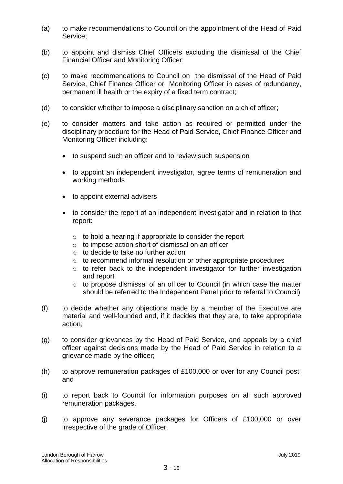- (a) to make recommendations to Council on the appointment of the Head of Paid Service;
- (b) to appoint and dismiss Chief Officers excluding the dismissal of the Chief Financial Officer and Monitoring Officer;
- (c) to make recommendations to Council on the dismissal of the Head of Paid Service, Chief Finance Officer or Monitoring Officer in cases of redundancy, permanent ill health or the expiry of a fixed term contract;
- (d) to consider whether to impose a disciplinary sanction on a chief officer;
- (e) to consider matters and take action as required or permitted under the disciplinary procedure for the Head of Paid Service, Chief Finance Officer and Monitoring Officer including:
	- to suspend such an officer and to review such suspension
	- to appoint an independent investigator, agree terms of remuneration and working methods
	- to appoint external advisers
	- to consider the report of an independent investigator and in relation to that report:
		- $\circ$  to hold a hearing if appropriate to consider the report
		- o to impose action short of dismissal on an officer
		- o to decide to take no further action
		- o to recommend informal resolution or other appropriate procedures
		- o to refer back to the independent investigator for further investigation and report
		- o to propose dismissal of an officer to Council (in which case the matter should be referred to the Independent Panel prior to referral to Council)
- (f) to decide whether any objections made by a member of the Executive are material and well-founded and, if it decides that they are, to take appropriate action;
- (g) to consider grievances by the Head of Paid Service, and appeals by a chief officer against decisions made by the Head of Paid Service in relation to a grievance made by the officer;
- (h) to approve remuneration packages of £100,000 or over for any Council post; and
- (i) to report back to Council for information purposes on all such approved remuneration packages.
- (j) to approve any severance packages for Officers of £100,000 or over irrespective of the grade of Officer.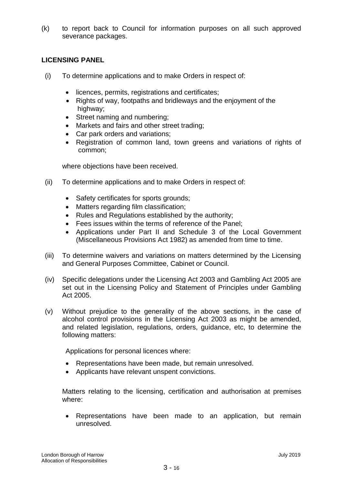(k) to report back to Council for information purposes on all such approved severance packages.

# **LICENSING PANEL**

- (i) To determine applications and to make Orders in respect of:
	- licences, permits, registrations and certificates;
	- Rights of way, footpaths and bridleways and the enjoyment of the highway;
	- Street naming and numbering;
	- Markets and fairs and other street trading;
	- Car park orders and variations;
	- Registration of common land, town greens and variations of rights of common;

where objections have been received.

- (ii) To determine applications and to make Orders in respect of:
	- Safety certificates for sports grounds;
	- Matters regarding film classification;
	- Rules and Regulations established by the authority;
	- Fees issues within the terms of reference of the Panel;
	- Applications under Part II and Schedule 3 of the Local Government (Miscellaneous Provisions Act 1982) as amended from time to time.
- (iii) To determine waivers and variations on matters determined by the Licensing and General Purposes Committee, Cabinet or Council.
- (iv) Specific delegations under the Licensing Act 2003 and Gambling Act 2005 are set out in the Licensing Policy and Statement of Principles under Gambling Act 2005.
- (v) Without prejudice to the generality of the above sections, in the case of alcohol control provisions in the Licensing Act 2003 as might be amended, and related legislation, regulations, orders, guidance, etc, to determine the following matters:

Applications for personal licences where:

- Representations have been made, but remain unresolved.
- Applicants have relevant unspent convictions.

Matters relating to the licensing, certification and authorisation at premises where:

 Representations have been made to an application, but remain unresolved.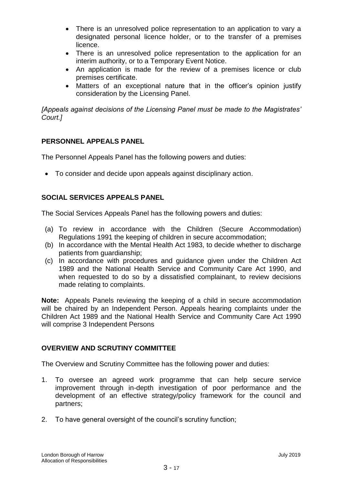- There is an unresolved police representation to an application to vary a designated personal licence holder, or to the transfer of a premises licence.
- There is an unresolved police representation to the application for an interim authority, or to a Temporary Event Notice.
- An application is made for the review of a premises licence or club premises certificate.
- Matters of an exceptional nature that in the officer's opinion justify consideration by the Licensing Panel.

*[Appeals against decisions of the Licensing Panel must be made to the Magistrates' Court.]*

# **PERSONNEL APPEALS PANEL**

The Personnel Appeals Panel has the following powers and duties:

To consider and decide upon appeals against disciplinary action.

# **SOCIAL SERVICES APPEALS PANEL**

The Social Services Appeals Panel has the following powers and duties:

- (a) To review in accordance with the Children (Secure Accommodation) Regulations 1991 the keeping of children in secure accommodation;
- (b) In accordance with the Mental Health Act 1983, to decide whether to discharge patients from guardianship;
- (c) In accordance with procedures and guidance given under the Children Act 1989 and the National Health Service and Community Care Act 1990, and when requested to do so by a dissatisfied complainant, to review decisions made relating to complaints.

**Note:** Appeals Panels reviewing the keeping of a child in secure accommodation will be chaired by an Independent Person. Appeals hearing complaints under the Children Act 1989 and the National Health Service and Community Care Act 1990 will comprise 3 Independent Persons

# **OVERVIEW AND SCRUTINY COMMITTEE**

The Overview and Scrutiny Committee has the following power and duties:

- 1. To oversee an agreed work programme that can help secure service improvement through in-depth investigation of poor performance and the development of an effective strategy/policy framework for the council and partners;
- 2. To have general oversight of the council's scrutiny function;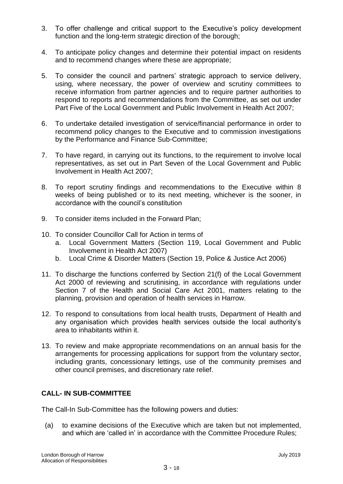- 3. To offer challenge and critical support to the Executive's policy development function and the long-term strategic direction of the borough;
- 4. To anticipate policy changes and determine their potential impact on residents and to recommend changes where these are appropriate;
- 5. To consider the council and partners' strategic approach to service delivery, using, where necessary, the power of overview and scrutiny committees to receive information from partner agencies and to require partner authorities to respond to reports and recommendations from the Committee, as set out under Part Five of the Local Government and Public Involvement in Health Act 2007;
- 6. To undertake detailed investigation of service/financial performance in order to recommend policy changes to the Executive and to commission investigations by the Performance and Finance Sub-Committee;
- 7. To have regard, in carrying out its functions, to the requirement to involve local representatives, as set out in Part Seven of the Local Government and Public Involvement in Health Act 2007;
- 8. To report scrutiny findings and recommendations to the Executive within 8 weeks of being published or to its next meeting, whichever is the sooner, in accordance with the council's constitution
- 9. To consider items included in the Forward Plan;
- 10. To consider Councillor Call for Action in terms of
	- a. Local Government Matters (Section 119, Local Government and Public Involvement in Health Act 2007)
	- b. Local Crime & Disorder Matters (Section 19, Police & Justice Act 2006)
- 11. To discharge the functions conferred by Section 21(f) of the Local Government Act 2000 of reviewing and scrutinising, in accordance with regulations under Section 7 of the Health and Social Care Act 2001, matters relating to the planning, provision and operation of health services in Harrow.
- 12. To respond to consultations from local health trusts, Department of Health and any organisation which provides health services outside the local authority's area to inhabitants within it.
- 13. To review and make appropriate recommendations on an annual basis for the arrangements for processing applications for support from the voluntary sector, including grants, concessionary lettings, use of the community premises and other council premises, and discretionary rate relief.

# **CALL- IN SUB-COMMITTEE**

The Call-In Sub-Committee has the following powers and duties:

(a) to examine decisions of the Executive which are taken but not implemented, and which are 'called in' in accordance with the Committee Procedure Rules;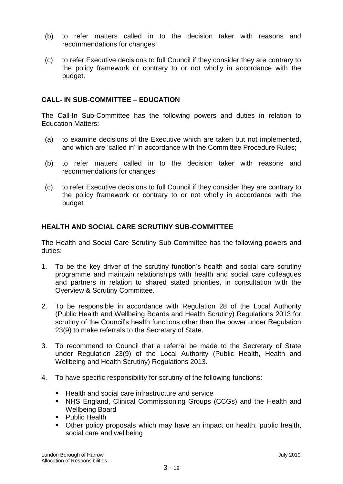- (b) to refer matters called in to the decision taker with reasons and recommendations for changes;
- (c) to refer Executive decisions to full Council if they consider they are contrary to the policy framework or contrary to or not wholly in accordance with the budget.

# **CALL- IN SUB-COMMITTEE – EDUCATION**

The Call-In Sub-Committee has the following powers and duties in relation to Education Matters:

- (a) to examine decisions of the Executive which are taken but not implemented, and which are 'called in' in accordance with the Committee Procedure Rules;
- (b) to refer matters called in to the decision taker with reasons and recommendations for changes;
- (c) to refer Executive decisions to full Council if they consider they are contrary to the policy framework or contrary to or not wholly in accordance with the budget

# **HEALTH AND SOCIAL CARE SCRUTINY SUB-COMMITTEE**

The Health and Social Care Scrutiny Sub-Committee has the following powers and duties:

- 1. To be the key driver of the scrutiny function's health and social care scrutiny programme and maintain relationships with health and social care colleagues and partners in relation to shared stated priorities, in consultation with the Overview & Scrutiny Committee.
- 2. To be responsible in accordance with Regulation 28 of the Local Authority (Public Health and Wellbeing Boards and Health Scrutiny) Regulations 2013 for scrutiny of the Council's health functions other than the power under Regulation 23(9) to make referrals to the Secretary of State.
- 3. To recommend to Council that a referral be made to the Secretary of State under Regulation 23(9) of the Local Authority (Public Health, Health and Wellbeing and Health Scrutiny) Regulations 2013.
- 4. To have specific responsibility for scrutiny of the following functions:
	- Health and social care infrastructure and service
	- NHS England, Clinical Commissioning Groups (CCGs) and the Health and Wellbeing Board
	- Public Health
	- Other policy proposals which may have an impact on health, public health, social care and wellbeing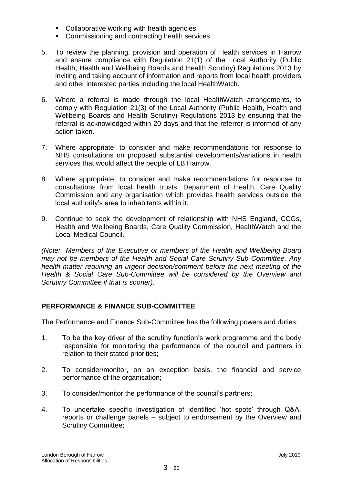- **Collaborative working with health agencies**
- **EXECOMMISSIONING AND CONTRACTING HEALTH SERVICES**
- 5. To review the planning, provision and operation of Health services in Harrow and ensure compliance with Regulation 21(1) of the Local Authority (Public Health, Health and Wellbeing Boards and Health Scrutiny) Regulations 2013 by inviting and taking account of information and reports from local health providers and other interested parties including the local HealthWatch.
- 6. Where a referral is made through the local HealthWatch arrangements, to comply with Regulation 21(3) of the Local Authority (Public Health, Health and Wellbeing Boards and Health Scrutiny) Regulations 2013 by ensuring that the referral is acknowledged within 20 days and that the referrer is informed of any action taken.
- 7. Where appropriate, to consider and make recommendations for response to NHS consultations on proposed substantial developments/variations in health services that would affect the people of LB Harrow.
- 8. Where appropriate, to consider and make recommendations for response to consultations from local health trusts, Department of Health, Care Quality Commission and any organisation which provides health services outside the local authority's area to inhabitants within it.
- 9. Continue to seek the development of relationship with NHS England, CCGs, Health and Wellbeing Boards, Care Quality Commission, HealthWatch and the Local Medical Council.

*(Note: Members of the Executive or members of the Health and Wellbeing Board may not be members of the Health and Social Care Scrutiny Sub Committee. Any health matter requiring an urgent decision/comment before the next meeting of the Health & Social Care Sub-Committee will be considered by the Overview and Scrutiny Committee if that is sooner).*

# **PERFORMANCE & FINANCE SUB-COMMITTEE**

The Performance and Finance Sub-Committee has the following powers and duties:

- 1. To be the key driver of the scrutiny function's work programme and the body responsible for monitoring the performance of the council and partners in relation to their stated priorities;
- 2. To consider/monitor, on an exception basis, the financial and service performance of the organisation;
- 3. To consider/monitor the performance of the council's partners;
- 4. To undertake specific investigation of identified 'hot spots' through Q&A, reports or challenge panels – subject to endorsement by the Overview and Scrutiny Committee;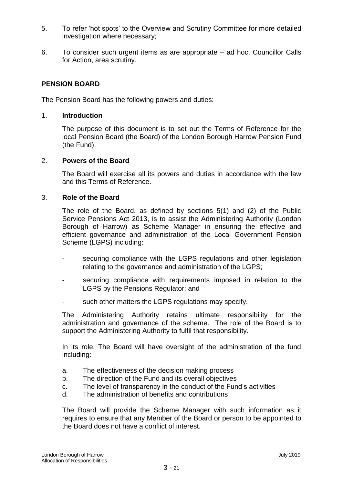- 5. To refer 'hot spots' to the Overview and Scrutiny Committee for more detailed investigation where necessary;
- 6. To consider such urgent items as are appropriate ad hoc, Councillor Calls for Action, area scrutiny.

# **PENSION BOARD**

The Pension Board has the following powers and duties:

# 1. **Introduction**

The purpose of this document is to set out the Terms of Reference for the local Pension Board (the Board) of the London Borough Harrow Pension Fund (the Fund).

#### 2. **Powers of the Board**

The Board will exercise all its powers and duties in accordance with the law and this Terms of Reference.

#### 3. **Role of the Board**

The role of the Board, as defined by sections 5(1) and (2) of the Public Service Pensions Act 2013, is to assist the Administering Authority (London Borough of Harrow) as Scheme Manager in ensuring the effective and efficient governance and administration of the Local Government Pension Scheme (LGPS) including:

- securing compliance with the LGPS regulations and other legislation relating to the governance and administration of the LGPS;
- securing compliance with requirements imposed in relation to the LGPS by the Pensions Regulator; and
- such other matters the LGPS regulations may specify.

The Administering Authority retains ultimate responsibility for the administration and governance of the scheme. The role of the Board is to support the Administering Authority to fulfil that responsibility.

In its role, The Board will have oversight of the administration of the fund including:

- a. The effectiveness of the decision making process
- b. The direction of the Fund and its overall objectives
- c. The level of transparency in the conduct of the Fund's activities
- d. The administration of benefits and contributions

The Board will provide the Scheme Manager with such information as it requires to ensure that any Member of the Board or person to be appointed to the Board does not have a conflict of interest.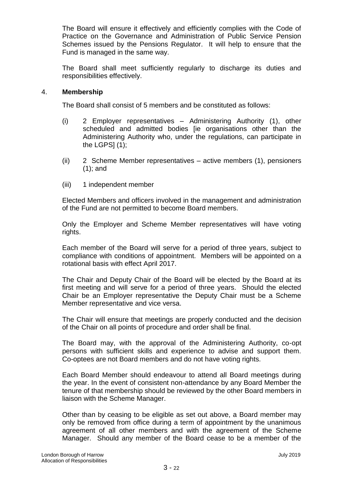The Board will ensure it effectively and efficiently complies with the Code of Practice on the Governance and Administration of Public Service Pension Schemes issued by the Pensions Regulator. It will help to ensure that the Fund is managed in the same way.

The Board shall meet sufficiently regularly to discharge its duties and responsibilities effectively.

#### 4. **Membership**

The Board shall consist of 5 members and be constituted as follows:

- (i) 2 Employer representatives Administering Authority (1), other scheduled and admitted bodies [ie organisations other than the Administering Authority who, under the regulations, can participate in the LGPS $(1)$ ;
- (ii) 2 Scheme Member representatives active members (1), pensioners (1); and
- (iii) 1 independent member

Elected Members and officers involved in the management and administration of the Fund are not permitted to become Board members.

Only the Employer and Scheme Member representatives will have voting rights.

Each member of the Board will serve for a period of three years, subject to compliance with conditions of appointment. Members will be appointed on a rotational basis with effect April 2017.

The Chair and Deputy Chair of the Board will be elected by the Board at its first meeting and will serve for a period of three years. Should the elected Chair be an Employer representative the Deputy Chair must be a Scheme Member representative and vice versa.

The Chair will ensure that meetings are properly conducted and the decision of the Chair on all points of procedure and order shall be final.

The Board may, with the approval of the Administering Authority, co-opt persons with sufficient skills and experience to advise and support them. Co-optees are not Board members and do not have voting rights.

Each Board Member should endeavour to attend all Board meetings during the year. In the event of consistent non-attendance by any Board Member the tenure of that membership should be reviewed by the other Board members in liaison with the Scheme Manager.

Other than by ceasing to be eligible as set out above, a Board member may only be removed from office during a term of appointment by the unanimous agreement of all other members and with the agreement of the Scheme Manager. Should any member of the Board cease to be a member of the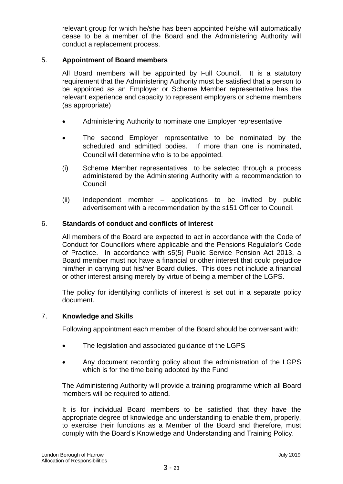relevant group for which he/she has been appointed he/she will automatically cease to be a member of the Board and the Administering Authority will conduct a replacement process.

# 5. **Appointment of Board members**

All Board members will be appointed by Full Council. It is a statutory requirement that the Administering Authority must be satisfied that a person to be appointed as an Employer or Scheme Member representative has the relevant experience and capacity to represent employers or scheme members (as appropriate)

- Administering Authority to nominate one Employer representative
- The second Employer representative to be nominated by the scheduled and admitted bodies. If more than one is nominated, Council will determine who is to be appointed.
- (i) Scheme Member representatives to be selected through a process administered by the Administering Authority with a recommendation to Council
- (ii) Independent member applications to be invited by public advertisement with a recommendation by the s151 Officer to Council.

# 6. **Standards of conduct and conflicts of interest**

All members of the Board are expected to act in accordance with the Code of Conduct for Councillors where applicable and the Pensions Regulator's Code of Practice. In accordance with s5(5) Public Service Pension Act 2013, a Board member must not have a financial or other interest that could prejudice him/her in carrying out his/her Board duties. This does not include a financial or other interest arising merely by virtue of being a member of the LGPS.

The policy for identifying conflicts of interest is set out in a separate policy document.

# 7. **Knowledge and Skills**

Following appointment each member of the Board should be conversant with:

- The legislation and associated guidance of the LGPS
- Any document recording policy about the administration of the LGPS which is for the time being adopted by the Fund

The Administering Authority will provide a training programme which all Board members will be required to attend.

It is for individual Board members to be satisfied that they have the appropriate degree of knowledge and understanding to enable them, properly, to exercise their functions as a Member of the Board and therefore, must comply with the Board's Knowledge and Understanding and Training Policy.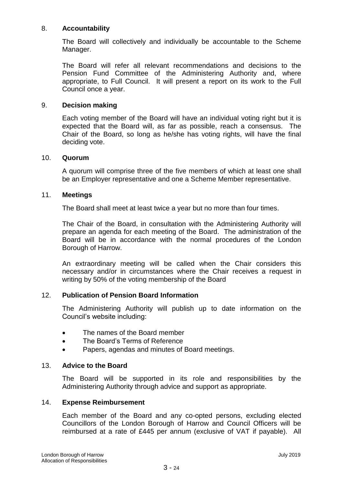# 8. **Accountability**

The Board will collectively and individually be accountable to the Scheme Manager.

The Board will refer all relevant recommendations and decisions to the Pension Fund Committee of the Administering Authority and, where appropriate, to Full Council. It will present a report on its work to the Full Council once a year.

# 9. **Decision making**

Each voting member of the Board will have an individual voting right but it is expected that the Board will, as far as possible, reach a consensus. The Chair of the Board, so long as he/she has voting rights, will have the final deciding vote.

#### 10. **Quorum**

A quorum will comprise three of the five members of which at least one shall be an Employer representative and one a Scheme Member representative.

#### 11. **Meetings**

The Board shall meet at least twice a year but no more than four times.

The Chair of the Board, in consultation with the Administering Authority will prepare an agenda for each meeting of the Board. The administration of the Board will be in accordance with the normal procedures of the London Borough of Harrow.

An extraordinary meeting will be called when the Chair considers this necessary and/or in circumstances where the Chair receives a request in writing by 50% of the voting membership of the Board

# 12. **Publication of Pension Board Information**

The Administering Authority will publish up to date information on the Council's website including:

- The names of the Board member
- The Board's Terms of Reference
- Papers, agendas and minutes of Board meetings.

# 13. **Advice to the Board**

The Board will be supported in its role and responsibilities by the Administering Authority through advice and support as appropriate.

# 14. **Expense Reimbursement**

Each member of the Board and any co-opted persons, excluding elected Councillors of the London Borough of Harrow and Council Officers will be reimbursed at a rate of £445 per annum (exclusive of VAT if payable). All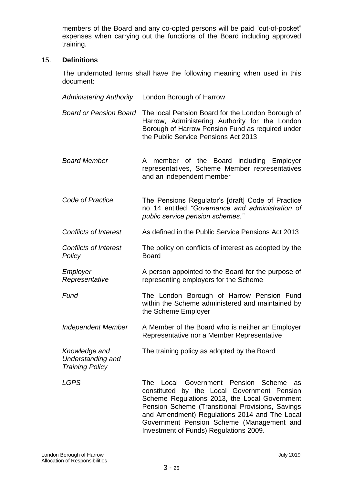members of the Board and any co-opted persons will be paid "out-of-pocket" expenses when carrying out the functions of the Board including approved training.

#### 15. **Definitions**

The undernoted terms shall have the following meaning when used in this document:

*Administering Authority* London Borough of Harrow *Board or Pension Board* The local Pension Board for the London Borough of Harrow, Administering Authority for the London Borough of Harrow Pension Fund as required under the Public Service Pensions Act 2013 *Board Member* A member of the Board including Employer representatives, Scheme Member representatives and an independent member *Code of Practice* The Pensions Regulator's [draft] Code of Practice no 14 entitled *"Governance and administration of public service pension schemes." Conflicts of Interest* As defined in the Public Service Pensions Act 2013 *Conflicts of Interest Policy* The policy on conflicts of interest as adopted by the Board *Employer Representative* A person appointed to the Board for the purpose of representing employers for the Scheme **Fund The London Borough of Harrow Pension Fund** within the Scheme administered and maintained by the Scheme Employer *Independent Member* A Member of the Board who is neither an Employer Representative nor a Member Representative *Knowledge and Understanding and Training Policy* The training policy as adopted by the Board LGPS The Local Government Pension Scheme as constituted by the Local Government Pension Scheme Regulations 2013, the Local Government Pension Scheme (Transitional Provisions, Savings and Amendment) Regulations 2014 and The Local Government Pension Scheme (Management and Investment of Funds) Regulations 2009.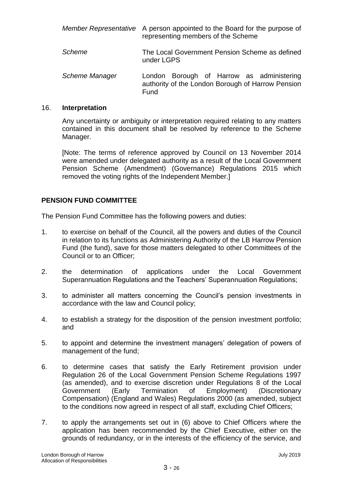|                | Member Representative A person appointed to the Board for the purpose of<br>representing members of the Scheme |
|----------------|----------------------------------------------------------------------------------------------------------------|
| Scheme         | The Local Government Pension Scheme as defined<br>under LGPS                                                   |
| Scheme Manager | London Borough of Harrow as administering<br>authority of the London Borough of Harrow Pension<br>Fund         |

#### 16. **Interpretation**

Any uncertainty or ambiguity or interpretation required relating to any matters contained in this document shall be resolved by reference to the Scheme Manager.

[Note: The terms of reference approved by Council on 13 November 2014 were amended under delegated authority as a result of the Local Government Pension Scheme (Amendment) (Governance) Regulations 2015 which removed the voting rights of the Independent Member.]

# **PENSION FUND COMMITTEE**

The Pension Fund Committee has the following powers and duties:

- 1. to exercise on behalf of the Council, all the powers and duties of the Council in relation to its functions as Administering Authority of the LB Harrow Pension Fund (the fund), save for those matters delegated to other Committees of the Council or to an Officer;
- 2. the determination of applications under the Local Government Superannuation Regulations and the Teachers' Superannuation Regulations;
- 3. to administer all matters concerning the Council's pension investments in accordance with the law and Council policy;
- 4. to establish a strategy for the disposition of the pension investment portfolio; and
- 5. to appoint and determine the investment managers' delegation of powers of management of the fund;
- 6. to determine cases that satisfy the Early Retirement provision under Regulation 26 of the Local Government Pension Scheme Regulations 1997 (as amended), and to exercise discretion under Regulations 8 of the Local Government (Early Termination of Employment) (Discretionary Compensation) (England and Wales) Regulations 2000 (as amended, subject to the conditions now agreed in respect of all staff, excluding Chief Officers;
- 7. to apply the arrangements set out in (6) above to Chief Officers where the application has been recommended by the Chief Executive, either on the grounds of redundancy, or in the interests of the efficiency of the service, and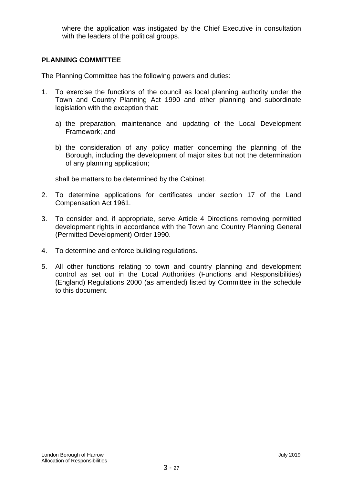where the application was instigated by the Chief Executive in consultation with the leaders of the political groups.

# **PLANNING COMMITTEE**

The Planning Committee has the following powers and duties:

- 1. To exercise the functions of the council as local planning authority under the Town and Country Planning Act 1990 and other planning and subordinate legislation with the exception that:
	- a) the preparation, maintenance and updating of the Local Development Framework; and
	- b) the consideration of any policy matter concerning the planning of the Borough, including the development of major sites but not the determination of any planning application;

shall be matters to be determined by the Cabinet.

- 2. To determine applications for certificates under section 17 of the Land Compensation Act 1961.
- 3. To consider and, if appropriate, serve Article 4 Directions removing permitted development rights in accordance with the Town and Country Planning General (Permitted Development) Order 1990.
- 4. To determine and enforce building regulations.
- 5. All other functions relating to town and country planning and development control as set out in the Local Authorities (Functions and Responsibilities) (England) Regulations 2000 (as amended) listed by Committee in the schedule to this document.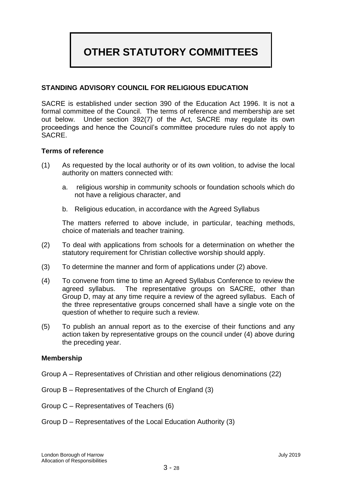# **OTHER STATUTORY COMMITTEES**

# **STANDING ADVISORY COUNCIL FOR RELIGIOUS EDUCATION**

SACRE is established under section 390 of the Education Act 1996. It is not a formal committee of the Council. The terms of reference and membership are set out below. Under section 392(7) of the Act, SACRE may regulate its own proceedings and hence the Council's committee procedure rules do not apply to SACRE.

#### **Terms of reference**

- (1) As requested by the local authority or of its own volition, to advise the local authority on matters connected with:
	- a. religious worship in community schools or foundation schools which do not have a religious character, and
	- b. Religious education, in accordance with the Agreed Syllabus

The matters referred to above include, in particular, teaching methods, choice of materials and teacher training.

- (2) To deal with applications from schools for a determination on whether the statutory requirement for Christian collective worship should apply.
- (3) To determine the manner and form of applications under (2) above.
- (4) To convene from time to time an Agreed Syllabus Conference to review the agreed syllabus. The representative groups on SACRE, other than Group D, may at any time require a review of the agreed syllabus. Each of the three representative groups concerned shall have a single vote on the question of whether to require such a review.
- (5) To publish an annual report as to the exercise of their functions and any action taken by representative groups on the council under (4) above during the preceding year.

#### **Membership**

- Group A Representatives of Christian and other religious denominations (22)
- Group B Representatives of the Church of England (3)
- Group C Representatives of Teachers (6)
- Group D Representatives of the Local Education Authority (3)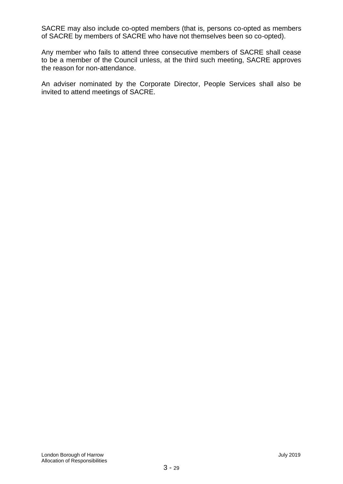SACRE may also include co-opted members (that is, persons co-opted as members of SACRE by members of SACRE who have not themselves been so co-opted).

Any member who fails to attend three consecutive members of SACRE shall cease to be a member of the Council unless, at the third such meeting, SACRE approves the reason for non-attendance.

An adviser nominated by the Corporate Director, People Services shall also be invited to attend meetings of SACRE.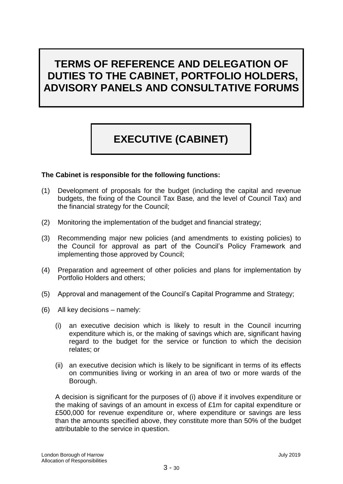# **TERMS OF REFERENCE AND DELEGATION OF DUTIES TO THE CABINET, PORTFOLIO HOLDERS, ADVISORY PANELS AND CONSULTATIVE FORUMS**

# **EXECUTIVE (CABINET)**

# **The Cabinet is responsible for the following functions:**

- (1) Development of proposals for the budget (including the capital and revenue budgets, the fixing of the Council Tax Base*,* and the level of Council Tax) and the financial strategy for the Council;
- (2) Monitoring the implementation of the budget and financial strategy;
- (3) Recommending major new policies (and amendments to existing policies) to the Council for approval as part of the Council's Policy Framework and implementing those approved by Council;
- (4) Preparation and agreement of other policies and plans for implementation by Portfolio Holders and others;
- (5) Approval and management of the Council's Capital Programme and Strategy;
- (6) All key decisions namely:
	- (i) an executive decision which is likely to result in the Council incurring expenditure which is, or the making of savings which are, significant having regard to the budget for the service or function to which the decision relates; or
	- (ii) an executive decision which is likely to be significant in terms of its effects on communities living or working in an area of two or more wards of the Borough.

A decision is significant for the purposes of (i) above if it involves expenditure or the making of savings of an amount in excess of £1m for capital expenditure or £500,000 for revenue expenditure or, where expenditure or savings are less than the amounts specified above, they constitute more than 50% of the budget attributable to the service in question.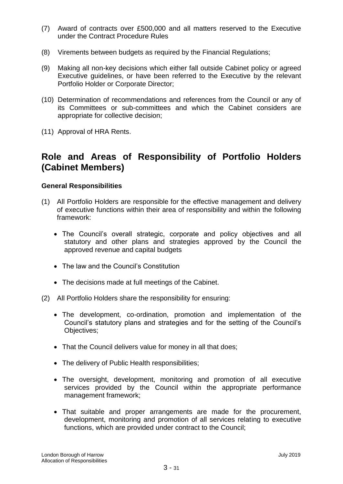- (7) Award of contracts over £500,000 and all matters reserved to the Executive under the Contract Procedure Rules
- (8) Virements between budgets as required by the Financial Regulations;
- (9) Making all non-key decisions which either fall outside Cabinet policy or agreed Executive guidelines, or have been referred to the Executive by the relevant Portfolio Holder or Corporate Director;
- (10) Determination of recommendations and references from the Council or any of its Committees or sub-committees and which the Cabinet considers are appropriate for collective decision;
- (11) Approval of HRA Rents.

# **Role and Areas of Responsibility of Portfolio Holders (Cabinet Members)**

# **General Responsibilities**

- (1) All Portfolio Holders are responsible for the effective management and delivery of executive functions within their area of responsibility and within the following framework:
	- The Council's overall strategic, corporate and policy objectives and all statutory and other plans and strategies approved by the Council the approved revenue and capital budgets
	- The law and the Council's Constitution
	- The decisions made at full meetings of the Cabinet.
- (2) All Portfolio Holders share the responsibility for ensuring:
	- The development, co-ordination, promotion and implementation of the Council's statutory plans and strategies and for the setting of the Council's Objectives;
	- That the Council delivers value for money in all that does;
	- The delivery of Public Health responsibilities;
	- The oversight, development, monitoring and promotion of all executive services provided by the Council within the appropriate performance management framework;
	- That suitable and proper arrangements are made for the procurement, development, monitoring and promotion of all services relating to executive functions, which are provided under contract to the Council;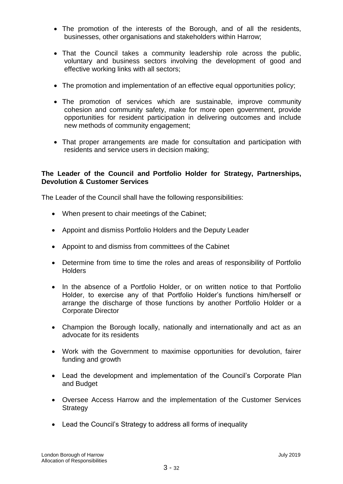- The promotion of the interests of the Borough, and of all the residents, businesses, other organisations and stakeholders within Harrow;
- That the Council takes a community leadership role across the public, voluntary and business sectors involving the development of good and effective working links with all sectors;
- The promotion and implementation of an effective equal opportunities policy;
- The promotion of services which are sustainable, improve community cohesion and community safety, make for more open government, provide opportunities for resident participation in delivering outcomes and include new methods of community engagement;
- That proper arrangements are made for consultation and participation with residents and service users in decision making;

# **The Leader of the Council and Portfolio Holder for Strategy, Partnerships, Devolution & Customer Services**

The Leader of the Council shall have the following responsibilities:

- When present to chair meetings of the Cabinet;
- Appoint and dismiss Portfolio Holders and the Deputy Leader
- Appoint to and dismiss from committees of the Cabinet
- Determine from time to time the roles and areas of responsibility of Portfolio **Holders**
- In the absence of a Portfolio Holder, or on written notice to that Portfolio Holder, to exercise any of that Portfolio Holder's functions him/herself or arrange the discharge of those functions by another Portfolio Holder or a Corporate Director
- Champion the Borough locally, nationally and internationally and act as an advocate for its residents
- Work with the Government to maximise opportunities for devolution, fairer funding and growth
- Lead the development and implementation of the Council's Corporate Plan and Budget
- Oversee Access Harrow and the implementation of the Customer Services **Strategy**
- Lead the Council's Strategy to address all forms of inequality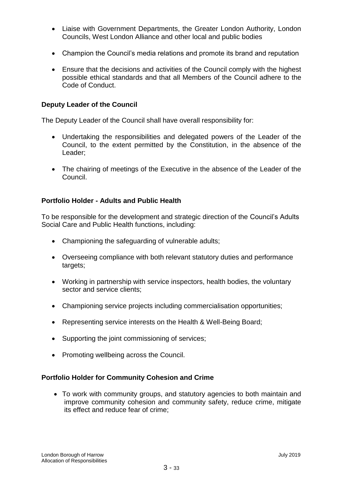- Liaise with Government Departments, the Greater London Authority, London Councils, West London Alliance and other local and public bodies
- Champion the Council's media relations and promote its brand and reputation
- Ensure that the decisions and activities of the Council comply with the highest possible ethical standards and that all Members of the Council adhere to the Code of Conduct.

# **Deputy Leader of the Council**

The Deputy Leader of the Council shall have overall responsibility for:

- Undertaking the responsibilities and delegated powers of the Leader of the Council, to the extent permitted by the Constitution, in the absence of the Leader;
- The chairing of meetings of the Executive in the absence of the Leader of the Council.

# **Portfolio Holder - Adults and Public Health**

To be responsible for the development and strategic direction of the Council's Adults Social Care and Public Health functions, including:

- Championing the safeguarding of vulnerable adults;
- Overseeing compliance with both relevant statutory duties and performance targets;
- Working in partnership with service inspectors, health bodies, the voluntary sector and service clients;
- Championing service projects including commercialisation opportunities;
- Representing service interests on the Health & Well-Being Board;
- Supporting the joint commissioning of services;
- Promoting wellbeing across the Council.

#### **Portfolio Holder for Community Cohesion and Crime**

 To work with community groups, and statutory agencies to both maintain and improve community cohesion and community safety, reduce crime, mitigate its effect and reduce fear of crime;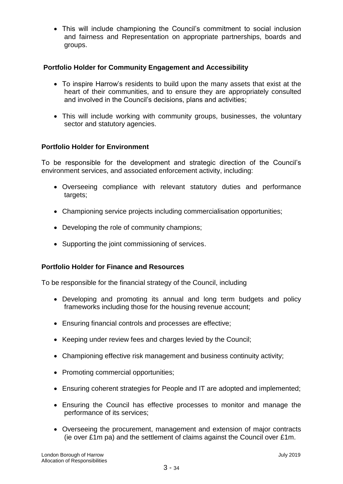This will include championing the Council's commitment to social inclusion and fairness and Representation on appropriate partnerships, boards and groups.

# **Portfolio Holder for Community Engagement and Accessibility**

- To inspire Harrow's residents to build upon the many assets that exist at the heart of their communities, and to ensure they are appropriately consulted and involved in the Council's decisions, plans and activities;
- This will include working with community groups, businesses, the voluntary sector and statutory agencies.

# **Portfolio Holder for Environment**

To be responsible for the development and strategic direction of the Council's environment services, and associated enforcement activity, including:

- Overseeing compliance with relevant statutory duties and performance targets;
- Championing service projects including commercialisation opportunities;
- Developing the role of community champions;
- Supporting the joint commissioning of services.

# **Portfolio Holder for Finance and Resources**

To be responsible for the financial strategy of the Council, including

- Developing and promoting its annual and long term budgets and policy frameworks including those for the housing revenue account;
- Ensuring financial controls and processes are effective;
- Keeping under review fees and charges levied by the Council;
- Championing effective risk management and business continuity activity;
- Promoting commercial opportunities;
- Ensuring coherent strategies for People and IT are adopted and implemented;
- Ensuring the Council has effective processes to monitor and manage the performance of its services;
- Overseeing the procurement, management and extension of major contracts (ie over £1m pa) and the settlement of claims against the Council over £1m.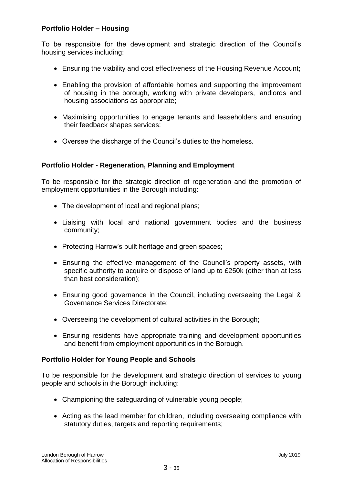# **Portfolio Holder – Housing**

To be responsible for the development and strategic direction of the Council's housing services including:

- Ensuring the viability and cost effectiveness of the Housing Revenue Account;
- Enabling the provision of affordable homes and supporting the improvement of housing in the borough, working with private developers, landlords and housing associations as appropriate;
- Maximising opportunities to engage tenants and leaseholders and ensuring their feedback shapes services;
- Oversee the discharge of the Council's duties to the homeless.

# **Portfolio Holder - Regeneration, Planning and Employment**

To be responsible for the strategic direction of regeneration and the promotion of employment opportunities in the Borough including:

- The development of local and regional plans;
- Liaising with local and national government bodies and the business community;
- Protecting Harrow's built heritage and green spaces;
- Ensuring the effective management of the Council's property assets, with specific authority to acquire or dispose of land up to £250k (other than at less than best consideration);
- Ensuring good governance in the Council, including overseeing the Legal & Governance Services Directorate;
- Overseeing the development of cultural activities in the Borough;
- Ensuring residents have appropriate training and development opportunities and benefit from employment opportunities in the Borough.

# **Portfolio Holder for Young People and Schools**

To be responsible for the development and strategic direction of services to young people and schools in the Borough including:

- Championing the safeguarding of vulnerable young people;
- Acting as the lead member for children, including overseeing compliance with statutory duties, targets and reporting requirements;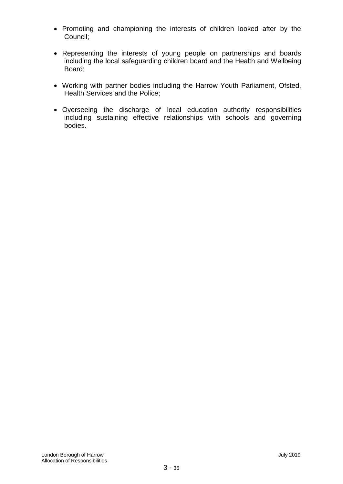- Promoting and championing the interests of children looked after by the Council;
- Representing the interests of young people on partnerships and boards including the local safeguarding children board and the Health and Wellbeing Board;
- Working with partner bodies including the Harrow Youth Parliament, Ofsted, Health Services and the Police;
- Overseeing the discharge of local education authority responsibilities including sustaining effective relationships with schools and governing bodies.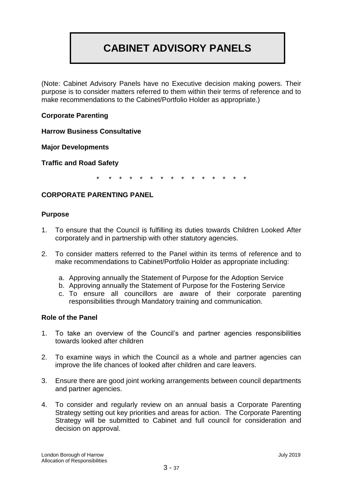# **CABINET ADVISORY PANELS**

(Note: Cabinet Advisory Panels have no Executive decision making powers. Their purpose is to consider matters referred to them within their terms of reference and to make recommendations to the Cabinet/Portfolio Holder as appropriate.)

# **Corporate Parenting**

**Harrow Business Consultative** 

**Major Developments**

**Traffic and Road Safety**

\* \* \* \* \* \* \* \* \* \* \* \* \* \* \*

# **CORPORATE PARENTING PANEL**

#### **Purpose**

- 1. To ensure that the Council is fulfilling its duties towards Children Looked After corporately and in partnership with other statutory agencies.
- 2. To consider matters referred to the Panel within its terms of reference and to make recommendations to Cabinet/Portfolio Holder as appropriate including:
	- a. Approving annually the Statement of Purpose for the Adoption Service
	- b. Approving annually the Statement of Purpose for the Fostering Service
	- c. To ensure all councillors are aware of their corporate parenting responsibilities through Mandatory training and communication.

# **Role of the Panel**

- 1. To take an overview of the Council's and partner agencies responsibilities towards looked after children
- 2. To examine ways in which the Council as a whole and partner agencies can improve the life chances of looked after children and care leavers.
- 3. Ensure there are good joint working arrangements between council departments and partner agencies.
- 4. To consider and regularly review on an annual basis a Corporate Parenting Strategy setting out key priorities and areas for action. The Corporate Parenting Strategy will be submitted to Cabinet and full council for consideration and decision on approval.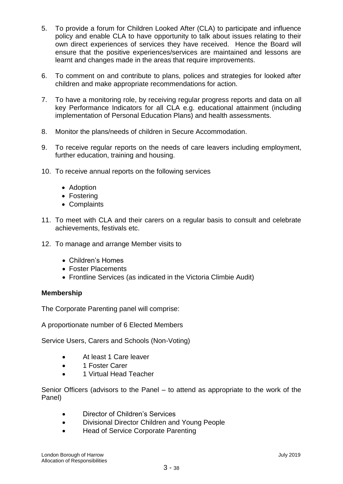- 5. To provide a forum for Children Looked After (CLA) to participate and influence policy and enable CLA to have opportunity to talk about issues relating to their own direct experiences of services they have received. Hence the Board will ensure that the positive experiences/services are maintained and lessons are learnt and changes made in the areas that require improvements.
- 6. To comment on and contribute to plans, polices and strategies for looked after children and make appropriate recommendations for action.
- 7. To have a monitoring role, by receiving regular progress reports and data on all key Performance Indicators for all CLA e.g. educational attainment (including implementation of Personal Education Plans) and health assessments.
- 8. Monitor the plans/needs of children in Secure Accommodation.
- 9. To receive regular reports on the needs of care leavers including employment, further education, training and housing.
- 10. To receive annual reports on the following services
	- Adoption
	- Fostering
	- Complaints
- 11. To meet with CLA and their carers on a regular basis to consult and celebrate achievements, festivals etc.
- 12. To manage and arrange Member visits to
	- Children's Homes
	- Foster Placements
	- Frontline Services (as indicated in the Victoria Climbie Audit)

# **Membership**

The Corporate Parenting panel will comprise:

A proportionate number of 6 Elected Members

Service Users, Carers and Schools (Non-Voting)

- At least 1 Care leaver
- 1 Foster Carer
- 1 Virtual Head Teacher

Senior Officers (advisors to the Panel – to attend as appropriate to the work of the Panel)

- Director of Children's Services
- Divisional Director Children and Young People
- Head of Service Corporate Parenting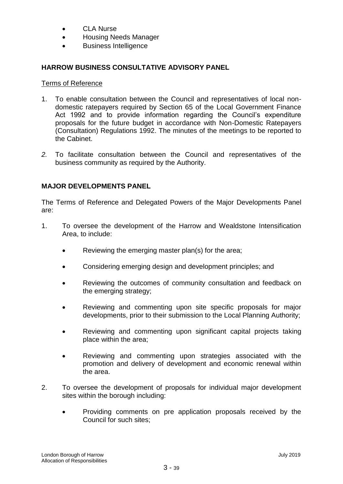- CLA Nurse
- Housing Needs Manager
- Business Intelligence

# **HARROW BUSINESS CONSULTATIVE ADVISORY PANEL**

# Terms of Reference

- 1. To enable consultation between the Council and representatives of local nondomestic ratepayers required by Section 65 of the Local Government Finance Act 1992 and to provide information regarding the Council's expenditure proposals for the future budget in accordance with Non-Domestic Ratepayers (Consultation) Regulations 1992. The minutes of the meetings to be reported to the Cabinet.
- *2.* To facilitate consultation between the Council and representatives of the business community as required by the Authority.

# **MAJOR DEVELOPMENTS PANEL**

The Terms of Reference and Delegated Powers of the Major Developments Panel are:

- 1. To oversee the development of the Harrow and Wealdstone Intensification Area, to include:
	- Reviewing the emerging master plan(s) for the area;
	- Considering emerging design and development principles; and
	- Reviewing the outcomes of community consultation and feedback on the emerging strategy;
	- Reviewing and commenting upon site specific proposals for major developments, prior to their submission to the Local Planning Authority;
	- Reviewing and commenting upon significant capital projects taking place within the area;
	- Reviewing and commenting upon strategies associated with the promotion and delivery of development and economic renewal within the area.
- 2. To oversee the development of proposals for individual major development sites within the borough including:
	- Providing comments on pre application proposals received by the Council for such sites;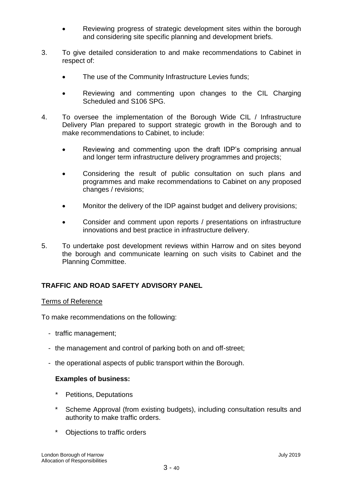- Reviewing progress of strategic development sites within the borough and considering site specific planning and development briefs.
- 3. To give detailed consideration to and make recommendations to Cabinet in respect of:
	- The use of the Community Infrastructure Levies funds;
	- Reviewing and commenting upon changes to the CIL Charging Scheduled and S106 SPG.
- 4. To oversee the implementation of the Borough Wide CIL / Infrastructure Delivery Plan prepared to support strategic growth in the Borough and to make recommendations to Cabinet, to include:
	- Reviewing and commenting upon the draft IDP's comprising annual and longer term infrastructure delivery programmes and projects;
	- Considering the result of public consultation on such plans and programmes and make recommendations to Cabinet on any proposed changes / revisions;
	- Monitor the delivery of the IDP against budget and delivery provisions;
	- Consider and comment upon reports / presentations on infrastructure innovations and best practice in infrastructure delivery.
- 5. To undertake post development reviews within Harrow and on sites beyond the borough and communicate learning on such visits to Cabinet and the Planning Committee.

# **TRAFFIC AND ROAD SAFETY ADVISORY PANEL**

#### Terms of Reference

To make recommendations on the following:

- traffic management;
- the management and control of parking both on and off-street;
- the operational aspects of public transport within the Borough.

# **Examples of business:**

- Petitions, Deputations
- Scheme Approval (from existing budgets), including consultation results and authority to make traffic orders.
- \* Objections to traffic orders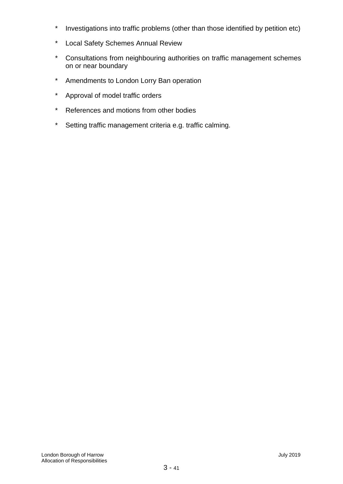- \* Investigations into traffic problems (other than those identified by petition etc)
- \* Local Safety Schemes Annual Review
- \* Consultations from neighbouring authorities on traffic management schemes on or near boundary
- \* Amendments to London Lorry Ban operation
- \* Approval of model traffic orders
- \* References and motions from other bodies
- \* Setting traffic management criteria e.g. traffic calming.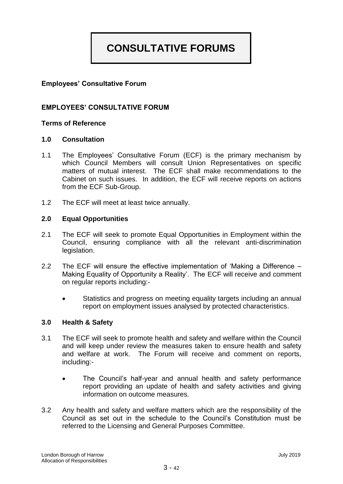# **CONSULTATIVE FORUMS**

# **Employees' Consultative Forum**

# **EMPLOYEES' CONSULTATIVE FORUM**

## **Terms of Reference**

#### **1.0 Consultation**

- 1.1 The Employees' Consultative Forum (ECF) is the primary mechanism by which Council Members will consult Union Representatives on specific matters of mutual interest. The ECF shall make recommendations to the Cabinet on such issues. In addition, the ECF will receive reports on actions from the ECF Sub-Group.
- 1.2 The ECF will meet at least twice annually.

#### **2.0 Equal Opportunities**

- 2.1 The ECF will seek to promote Equal Opportunities in Employment within the Council, ensuring compliance with all the relevant anti-discrimination legislation.
- 2.2 The ECF will ensure the effective implementation of 'Making a Difference Making Equality of Opportunity a Reality'. The ECF will receive and comment on regular reports including:-
	- Statistics and progress on meeting equality targets including an annual report on employment issues analysed by protected characteristics.

#### **3.0 Health & Safety**

- 3.1 The ECF will seek to promote health and safety and welfare within the Council and will keep under review the measures taken to ensure health and safety and welfare at work. The Forum will receive and comment on reports, including:-
	- The Council's half-year and annual health and safety performance report providing an update of health and safety activities and giving information on outcome measures.
- 3.2 Any health and safety and welfare matters which are the responsibility of the Council as set out in the schedule to the Council's Constitution must be referred to the Licensing and General Purposes Committee.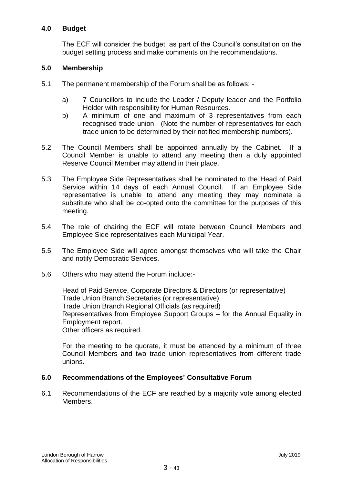# **4.0 Budget**

The ECF will consider the budget, as part of the Council's consultation on the budget setting process and make comments on the recommendations.

# **5.0 Membership**

- 5.1 The permanent membership of the Forum shall be as follows:
	- a) 7 Councillors to include the Leader / Deputy leader and the Portfolio Holder with responsibility for Human Resources.
	- b) A minimum of one and maximum of 3 representatives from each recognised trade union. (Note the number of representatives for each trade union to be determined by their notified membership numbers).
- 5.2 The Council Members shall be appointed annually by the Cabinet. If a Council Member is unable to attend any meeting then a duly appointed Reserve Council Member may attend in their place.
- 5.3 The Employee Side Representatives shall be nominated to the Head of Paid Service within 14 days of each Annual Council. If an Employee Side representative is unable to attend any meeting they may nominate a substitute who shall be co-opted onto the committee for the purposes of this meeting.
- 5.4 The role of chairing the ECF will rotate between Council Members and Employee Side representatives each Municipal Year.
- 5.5 The Employee Side will agree amongst themselves who will take the Chair and notify Democratic Services.
- 5.6 Others who may attend the Forum include:-

Head of Paid Service, Corporate Directors & Directors (or representative) Trade Union Branch Secretaries (or representative) Trade Union Branch Regional Officials (as required) Representatives from Employee Support Groups – for the Annual Equality in Employment report. Other officers as required.

For the meeting to be quorate, it must be attended by a minimum of three Council Members and two trade union representatives from different trade unions.

# **6.0 Recommendations of the Employees' Consultative Forum**

6.1 Recommendations of the ECF are reached by a majority vote among elected Members.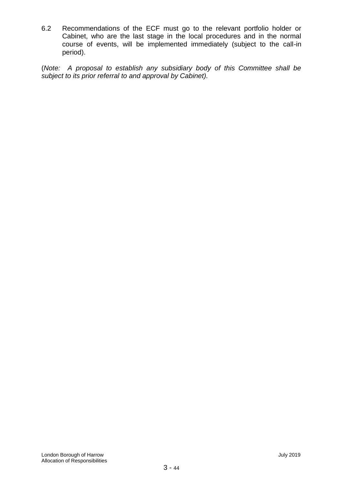6.2 Recommendations of the ECF must go to the relevant portfolio holder or Cabinet, who are the last stage in the local procedures and in the normal course of events, will be implemented immediately (subject to the call-in period).

(*Note: A proposal to establish any subsidiary body of this Committee shall be subject to its prior referral to and approval by Cabinet).*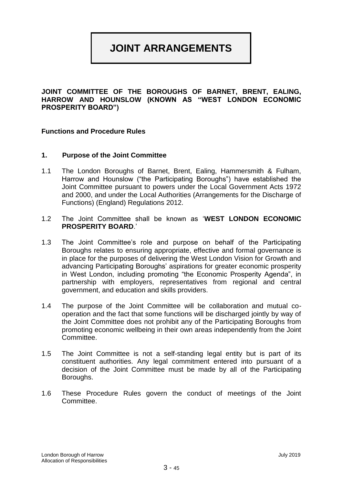# **JOINT ARRANGEMENTS**

**JOINT COMMITTEE OF THE BOROUGHS OF BARNET, BRENT, EALING, HARROW AND HOUNSLOW (KNOWN AS "WEST LONDON ECONOMIC PROSPERITY BOARD")**

#### **Functions and Procedure Rules**

#### **1. Purpose of the Joint Committee**

- 1.1 The London Boroughs of Barnet, Brent, Ealing, Hammersmith & Fulham, Harrow and Hounslow ("the Participating Boroughs") have established the Joint Committee pursuant to powers under the Local Government Acts 1972 and 2000, and under the Local Authorities (Arrangements for the Discharge of Functions) (England) Regulations 2012.
- 1.2 The Joint Committee shall be known as '**WEST LONDON ECONOMIC PROSPERITY BOARD**.'
- 1.3 The Joint Committee's role and purpose on behalf of the Participating Boroughs relates to ensuring appropriate, effective and formal governance is in place for the purposes of delivering the West London Vision for Growth and advancing Participating Boroughs' aspirations for greater economic prosperity in West London, including promoting "the Economic Prosperity Agenda", in partnership with employers, representatives from regional and central government, and education and skills providers.
- 1.4 The purpose of the Joint Committee will be collaboration and mutual cooperation and the fact that some functions will be discharged jointly by way of the Joint Committee does not prohibit any of the Participating Boroughs from promoting economic wellbeing in their own areas independently from the Joint Committee.
- 1.5 The Joint Committee is not a self-standing legal entity but is part of its constituent authorities. Any legal commitment entered into pursuant of a decision of the Joint Committee must be made by all of the Participating Boroughs.
- 1.6 These Procedure Rules govern the conduct of meetings of the Joint Committee.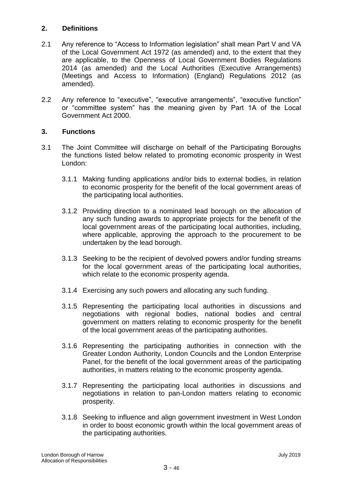# **2. Definitions**

- 2.1 Any reference to "Access to Information legislation" shall mean Part V and VA of the Local Government Act 1972 (as amended) and, to the extent that they are applicable, to the Openness of Local Government Bodies Regulations 2014 (as amended) and the Local Authorities (Executive Arrangements) (Meetings and Access to Information) (England) Regulations 2012 (as amended).
- 2.2 Any reference to "executive", "executive arrangements", "executive function" or "committee system" has the meaning given by Part 1A of the Local Government Act 2000.

# **3. Functions**

- 3.1 The Joint Committee will discharge on behalf of the Participating Boroughs the functions listed below related to promoting economic prosperity in West London:
	- 3.1.1 Making funding applications and/or bids to external bodies, in relation to economic prosperity for the benefit of the local government areas of the participating local authorities.
	- 3.1.2 Providing direction to a nominated lead borough on the allocation of any such funding awards to appropriate projects for the benefit of the local government areas of the participating local authorities, including, where applicable, approving the approach to the procurement to be undertaken by the lead borough.
	- 3.1.3 Seeking to be the recipient of devolved powers and/or funding streams for the local government areas of the participating local authorities, which relate to the economic prosperity agenda.
	- 3.1.4 Exercising any such powers and allocating any such funding.
	- 3.1.5 Representing the participating local authorities in discussions and negotiations with regional bodies, national bodies and central government on matters relating to economic prosperity for the benefit of the local government areas of the participating authorities.
	- 3.1.6 Representing the participating authorities in connection with the Greater London Authority, London Councils and the London Enterprise Panel, for the benefit of the local government areas of the participating authorities, in matters relating to the economic prosperity agenda.
	- 3.1.7 Representing the participating local authorities in discussions and negotiations in relation to pan-London matters relating to economic prosperity.
	- 3.1.8 Seeking to influence and align government investment in West London in order to boost economic growth within the local government areas of the participating authorities.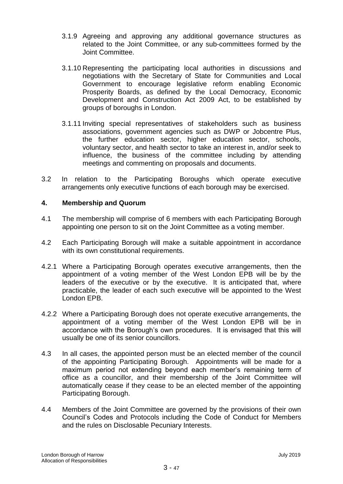- 3.1.9 Agreeing and approving any additional governance structures as related to the Joint Committee, or any sub-committees formed by the Joint Committee.
- 3.1.10 Representing the participating local authorities in discussions and negotiations with the Secretary of State for Communities and Local Government to encourage legislative reform enabling Economic Prosperity Boards, as defined by the Local Democracy, Economic Development and Construction Act 2009 Act, to be established by groups of boroughs in London.
- 3.1.11 Inviting special representatives of stakeholders such as business associations, government agencies such as DWP or Jobcentre Plus, the further education sector, higher education sector, schools, voluntary sector, and health sector to take an interest in, and/or seek to influence, the business of the committee including by attending meetings and commenting on proposals and documents.
- 3.2 In relation to the Participating Boroughs which operate executive arrangements only executive functions of each borough may be exercised.

# **4. Membership and Quorum**

- 4.1 The membership will comprise of 6 members with each Participating Borough appointing one person to sit on the Joint Committee as a voting member.
- 4.2 Each Participating Borough will make a suitable appointment in accordance with its own constitutional requirements.
- 4.2.1 Where a Participating Borough operates executive arrangements, then the appointment of a voting member of the West London EPB will be by the leaders of the executive or by the executive. It is anticipated that, where practicable, the leader of each such executive will be appointed to the West London EPB.
- 4.2.2 Where a Participating Borough does not operate executive arrangements, the appointment of a voting member of the West London EPB will be in accordance with the Borough's own procedures. It is envisaged that this will usually be one of its senior councillors.
- 4.3 In all cases, the appointed person must be an elected member of the council of the appointing Participating Borough. Appointments will be made for a maximum period not extending beyond each member's remaining term of office as a councillor, and their membership of the Joint Committee will automatically cease if they cease to be an elected member of the appointing Participating Borough.
- 4.4 Members of the Joint Committee are governed by the provisions of their own Council's Codes and Protocols including the Code of Conduct for Members and the rules on Disclosable Pecuniary Interests.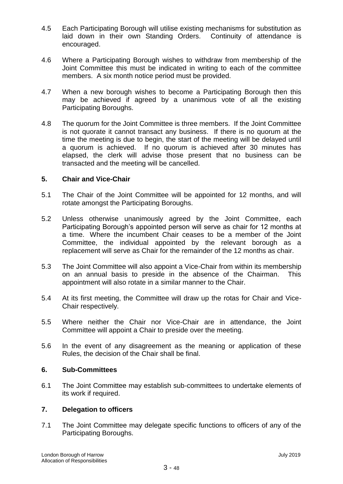- 4.5 Each Participating Borough will utilise existing mechanisms for substitution as laid down in their own Standing Orders. Continuity of attendance is encouraged.
- 4.6 Where a Participating Borough wishes to withdraw from membership of the Joint Committee this must be indicated in writing to each of the committee members. A six month notice period must be provided.
- 4.7 When a new borough wishes to become a Participating Borough then this may be achieved if agreed by a unanimous vote of all the existing Participating Boroughs.
- 4.8 The quorum for the Joint Committee is three members. If the Joint Committee is not quorate it cannot transact any business. If there is no quorum at the time the meeting is due to begin, the start of the meeting will be delayed until a quorum is achieved. If no quorum is achieved after 30 minutes has elapsed, the clerk will advise those present that no business can be transacted and the meeting will be cancelled.

# **5. Chair and Vice-Chair**

- 5.1 The Chair of the Joint Committee will be appointed for 12 months, and will rotate amongst the Participating Boroughs.
- 5.2 Unless otherwise unanimously agreed by the Joint Committee, each Participating Borough's appointed person will serve as chair for 12 months at a time. Where the incumbent Chair ceases to be a member of the Joint Committee, the individual appointed by the relevant borough as a replacement will serve as Chair for the remainder of the 12 months as chair.
- 5.3 The Joint Committee will also appoint a Vice-Chair from within its membership on an annual basis to preside in the absence of the Chairman. This appointment will also rotate in a similar manner to the Chair.
- 5.4 At its first meeting, the Committee will draw up the rotas for Chair and Vice-Chair respectively.
- 5.5 Where neither the Chair nor Vice-Chair are in attendance, the Joint Committee will appoint a Chair to preside over the meeting.
- 5.6 In the event of any disagreement as the meaning or application of these Rules, the decision of the Chair shall be final.

# **6. Sub-Committees**

6.1 The Joint Committee may establish sub-committees to undertake elements of its work if required.

# **7. Delegation to officers**

7.1 The Joint Committee may delegate specific functions to officers of any of the Participating Boroughs.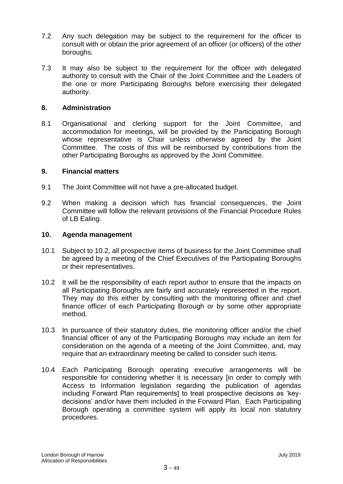- 7.2 Any such delegation may be subject to the requirement for the officer to consult with or obtain the prior agreement of an officer (or officers) of the other boroughs.
- 7.3 It may also be subject to the requirement for the officer with delegated authority to consult with the Chair of the Joint Committee and the Leaders of the one or more Participating Boroughs before exercising their delegated authority.

#### **8. Administration**

8.1 Organisational and clerking support for the Joint Committee, and accommodation for meetings, will be provided by the Participating Borough whose representative is Chair unless otherwise agreed by the Joint Committee. The costs of this will be reimbursed by contributions from the other Participating Boroughs as approved by the Joint Committee.

#### **9. Financial matters**

- 9.1 The Joint Committee will not have a pre-allocated budget.
- 9.2 When making a decision which has financial consequences, the Joint Committee will follow the relevant provisions of the Financial Procedure Rules of LB Ealing.

#### **10. Agenda management**

- 10.1 Subject to 10.2, all prospective items of business for the Joint Committee shall be agreed by a meeting of the Chief Executives of the Participating Boroughs or their representatives.
- 10.2 It will be the responsibility of each report author to ensure that the impacts on all Participating Boroughs are fairly and accurately represented in the report. They may do this either by consulting with the monitoring officer and chief finance officer of each Participating Borough or by some other appropriate method.
- 10.3 In pursuance of their statutory duties, the monitoring officer and/or the chief financial officer of any of the Participating Boroughs may include an item for consideration on the agenda of a meeting of the Joint Committee, and, may require that an extraordinary meeting be called to consider such items.
- 10.4 Each Participating Borough operating executive arrangements will be responsible for considering whether it is necessary [in order to comply with Access to Information legislation regarding the publication of agendas including Forward Plan requirements] to treat prospective decisions as 'keydecisions' and/or have them included in the Forward Plan. Each Participating Borough operating a committee system will apply its local non statutory procedures.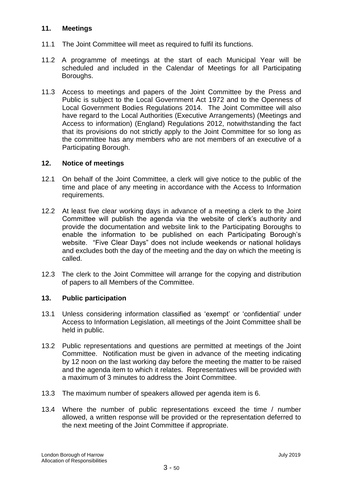# **11. Meetings**

- 11.1 The Joint Committee will meet as required to fulfil its functions.
- 11.2 A programme of meetings at the start of each Municipal Year will be scheduled and included in the Calendar of Meetings for all Participating Boroughs.
- 11.3 Access to meetings and papers of the Joint Committee by the Press and Public is subject to the Local Government Act 1972 and to the Openness of Local Government Bodies Regulations 2014. The Joint Committee will also have regard to the Local Authorities (Executive Arrangements) (Meetings and Access to information) (England) Regulations 2012, notwithstanding the fact that its provisions do not strictly apply to the Joint Committee for so long as the committee has any members who are not members of an executive of a Participating Borough.

# **12. Notice of meetings**

- 12.1 On behalf of the Joint Committee, a clerk will give notice to the public of the time and place of any meeting in accordance with the Access to Information requirements.
- 12.2 At least five clear working days in advance of a meeting a clerk to the Joint Committee will publish the agenda via the website of clerk's authority and provide the documentation and website link to the Participating Boroughs to enable the information to be published on each Participating Borough's website. "Five Clear Days" does not include weekends or national holidays and excludes both the day of the meeting and the day on which the meeting is called.
- 12.3 The clerk to the Joint Committee will arrange for the copying and distribution of papers to all Members of the Committee.

# **13. Public participation**

- 13.1 Unless considering information classified as 'exempt' or 'confidential' under Access to Information Legislation, all meetings of the Joint Committee shall be held in public.
- 13.2 Public representations and questions are permitted at meetings of the Joint Committee. Notification must be given in advance of the meeting indicating by 12 noon on the last working day before the meeting the matter to be raised and the agenda item to which it relates. Representatives will be provided with a maximum of 3 minutes to address the Joint Committee.
- 13.3 The maximum number of speakers allowed per agenda item is 6.
- 13.4 Where the number of public representations exceed the time / number allowed, a written response will be provided or the representation deferred to the next meeting of the Joint Committee if appropriate.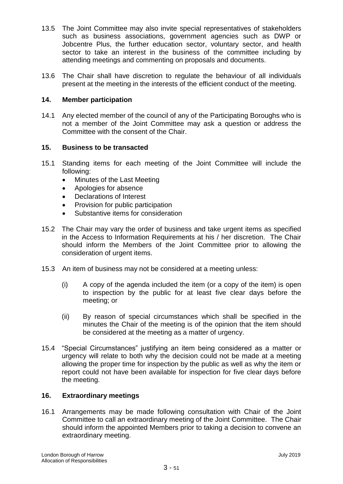- 13.5 The Joint Committee may also invite special representatives of stakeholders such as business associations, government agencies such as DWP or Jobcentre Plus, the further education sector, voluntary sector, and health sector to take an interest in the business of the committee including by attending meetings and commenting on proposals and documents.
- 13.6 The Chair shall have discretion to regulate the behaviour of all individuals present at the meeting in the interests of the efficient conduct of the meeting.

# **14. Member participation**

14.1 Any elected member of the council of any of the Participating Boroughs who is not a member of the Joint Committee may ask a question or address the Committee with the consent of the Chair.

# **15. Business to be transacted**

- 15.1 Standing items for each meeting of the Joint Committee will include the following:
	- Minutes of the Last Meeting
	- Apologies for absence
	- Declarations of Interest
	- Provision for public participation
	- Substantive items for consideration
- 15.2 The Chair may vary the order of business and take urgent items as specified in the Access to Information Requirements at his / her discretion. The Chair should inform the Members of the Joint Committee prior to allowing the consideration of urgent items.
- 15.3 An item of business may not be considered at a meeting unless:
	- (i) A copy of the agenda included the item (or a copy of the item) is open to inspection by the public for at least five clear days before the meeting; or
	- (ii) By reason of special circumstances which shall be specified in the minutes the Chair of the meeting is of the opinion that the item should be considered at the meeting as a matter of urgency.
- 15.4 "Special Circumstances" justifying an item being considered as a matter or urgency will relate to both why the decision could not be made at a meeting allowing the proper time for inspection by the public as well as why the item or report could not have been available for inspection for five clear days before the meeting.

# **16. Extraordinary meetings**

16.1 Arrangements may be made following consultation with Chair of the Joint Committee to call an extraordinary meeting of the Joint Committee. The Chair should inform the appointed Members prior to taking a decision to convene an extraordinary meeting.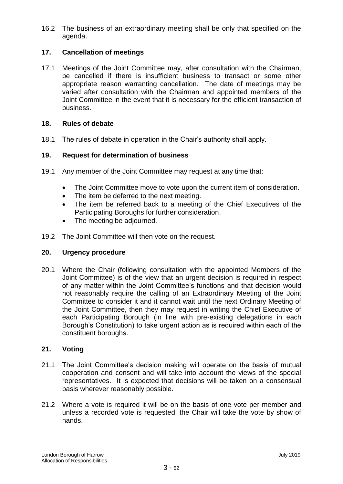16.2 The business of an extraordinary meeting shall be only that specified on the agenda.

# **17. Cancellation of meetings**

17.1 Meetings of the Joint Committee may, after consultation with the Chairman, be cancelled if there is insufficient business to transact or some other appropriate reason warranting cancellation. The date of meetings may be varied after consultation with the Chairman and appointed members of the Joint Committee in the event that it is necessary for the efficient transaction of business.

## **18. Rules of debate**

18.1 The rules of debate in operation in the Chair's authority shall apply.

#### **19. Request for determination of business**

- 19.1 Any member of the Joint Committee may request at any time that:
	- The Joint Committee move to vote upon the current item of consideration.
	- The item be deferred to the next meeting.
	- The item be referred back to a meeting of the Chief Executives of the Participating Boroughs for further consideration.
	- The meeting be adjourned.
- 19.2 The Joint Committee will then vote on the request.

#### **20. Urgency procedure**

20.1 Where the Chair (following consultation with the appointed Members of the Joint Committee) is of the view that an urgent decision is required in respect of any matter within the Joint Committee's functions and that decision would not reasonably require the calling of an Extraordinary Meeting of the Joint Committee to consider it and it cannot wait until the next Ordinary Meeting of the Joint Committee, then they may request in writing the Chief Executive of each Participating Borough (in line with pre-existing delegations in each Borough's Constitution) to take urgent action as is required within each of the constituent boroughs.

# **21. Voting**

- 21.1 The Joint Committee's decision making will operate on the basis of mutual cooperation and consent and will take into account the views of the special representatives. It is expected that decisions will be taken on a consensual basis wherever reasonably possible.
- 21.2 Where a vote is required it will be on the basis of one vote per member and unless a recorded vote is requested, the Chair will take the vote by show of hands.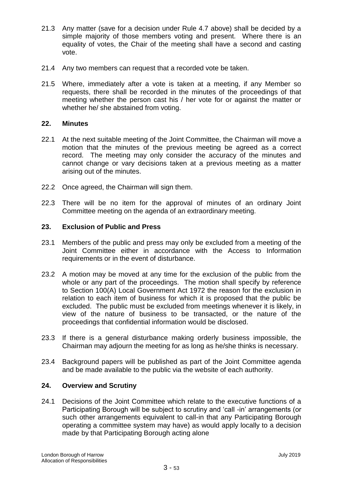- 21.3 Any matter (save for a decision under Rule 4.7 above) shall be decided by a simple majority of those members voting and present. Where there is an equality of votes, the Chair of the meeting shall have a second and casting vote.
- 21.4 Any two members can request that a recorded vote be taken.
- 21.5 Where, immediately after a vote is taken at a meeting, if any Member so requests, there shall be recorded in the minutes of the proceedings of that meeting whether the person cast his / her vote for or against the matter or whether he/ she abstained from voting.

# **22. Minutes**

- 22.1 At the next suitable meeting of the Joint Committee, the Chairman will move a motion that the minutes of the previous meeting be agreed as a correct record. The meeting may only consider the accuracy of the minutes and cannot change or vary decisions taken at a previous meeting as a matter arising out of the minutes.
- 22.2 Once agreed, the Chairman will sign them.
- 22.3 There will be no item for the approval of minutes of an ordinary Joint Committee meeting on the agenda of an extraordinary meeting.

# **23. Exclusion of Public and Press**

- 23.1 Members of the public and press may only be excluded from a meeting of the Joint Committee either in accordance with the Access to Information requirements or in the event of disturbance.
- 23.2 A motion may be moved at any time for the exclusion of the public from the whole or any part of the proceedings. The motion shall specify by reference to Section 100(A) Local Government Act 1972 the reason for the exclusion in relation to each item of business for which it is proposed that the public be excluded. The public must be excluded from meetings whenever it is likely, in view of the nature of business to be transacted, or the nature of the proceedings that confidential information would be disclosed.
- 23.3 If there is a general disturbance making orderly business impossible, the Chairman may adjourn the meeting for as long as he/she thinks is necessary.
- 23.4 Background papers will be published as part of the Joint Committee agenda and be made available to the public via the website of each authority.

# **24. Overview and Scrutiny**

24.1 Decisions of the Joint Committee which relate to the executive functions of a Participating Borough will be subject to scrutiny and 'call -in' arrangements (or such other arrangements equivalent to call-in that any Participating Borough operating a committee system may have) as would apply locally to a decision made by that Participating Borough acting alone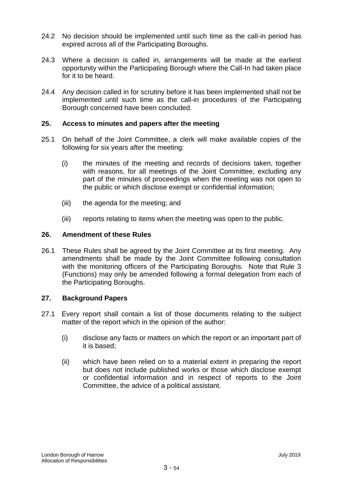- 24.2 No decision should be implemented until such time as the call-in period has expired across all of the Participating Boroughs.
- 24.3 Where a decision is called in, arrangements will be made at the earliest opportunity within the Participating Borough where the Call-In had taken place for it to be heard.
- 24.4 Any decision called in for scrutiny before it has been implemented shall not be implemented until such time as the call-in procedures of the Participating Borough concerned have been concluded.

# **25. Access to minutes and papers after the meeting**

- 25.1 On behalf of the Joint Committee, a clerk will make available copies of the following for six years after the meeting:
	- (i) the minutes of the meeting and records of decisions taken, together with reasons, for all meetings of the Joint Committee, excluding any part of the minutes of proceedings when the meeting was not open to the public or which disclose exempt or confidential information;
	- (iii) the agenda for the meeting; and
	- (iii) reports relating to items when the meeting was open to the public.

# **26. Amendment of these Rules**

26.1 These Rules shall be agreed by the Joint Committee at its first meeting. Any amendments shall be made by the Joint Committee following consultation with the monitoring officers of the Participating Boroughs. Note that Rule 3 (Functions) may only be amended following a formal delegation from each of the Participating Boroughs.

# **27. Background Papers**

- 27.1 Every report shall contain a list of those documents relating to the subject matter of the report which in the opinion of the author:
	- (i) disclose any facts or matters on which the report or an important part of it is based;
	- (ii) which have been relied on to a material extent in preparing the report but does not include published works or those which disclose exempt or confidential information and in respect of reports to the Joint Committee, the advice of a political assistant.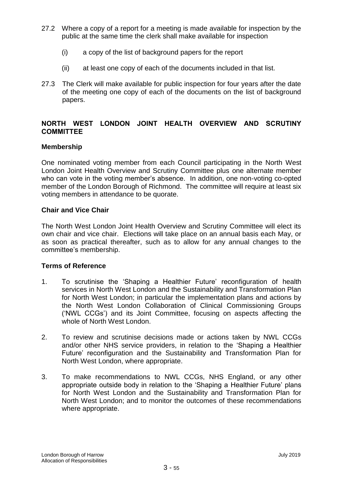- 27.2 Where a copy of a report for a meeting is made available for inspection by the public at the same time the clerk shall make available for inspection
	- (i) a copy of the list of background papers for the report
	- (ii) at least one copy of each of the documents included in that list.
- 27.3 The Clerk will make available for public inspection for four years after the date of the meeting one copy of each of the documents on the list of background papers.

# **NORTH WEST LONDON JOINT HEALTH OVERVIEW AND SCRUTINY COMMITTEE**

# **Membership**

One nominated voting member from each Council participating in the North West London Joint Health Overview and Scrutiny Committee plus one alternate member who can vote in the voting member's absence. In addition, one non-voting co-opted member of the London Borough of Richmond. The committee will require at least six voting members in attendance to be quorate.

# **Chair and Vice Chair**

The North West London Joint Health Overview and Scrutiny Committee will elect its own chair and vice chair. Elections will take place on an annual basis each May, or as soon as practical thereafter, such as to allow for any annual changes to the committee's membership.

# **Terms of Reference**

- 1. To scrutinise the 'Shaping a Healthier Future' reconfiguration of health services in North West London and the Sustainability and Transformation Plan for North West London; in particular the implementation plans and actions by the North West London Collaboration of Clinical Commissioning Groups ('NWL CCGs') and its Joint Committee, focusing on aspects affecting the whole of North West London.
- 2. To review and scrutinise decisions made or actions taken by NWL CCGs and/or other NHS service providers, in relation to the 'Shaping a Healthier Future' reconfiguration and the Sustainability and Transformation Plan for North West London, where appropriate.
- 3. To make recommendations to NWL CCGs, NHS England, or any other appropriate outside body in relation to the 'Shaping a Healthier Future' plans for North West London and the Sustainability and Transformation Plan for North West London; and to monitor the outcomes of these recommendations where appropriate.